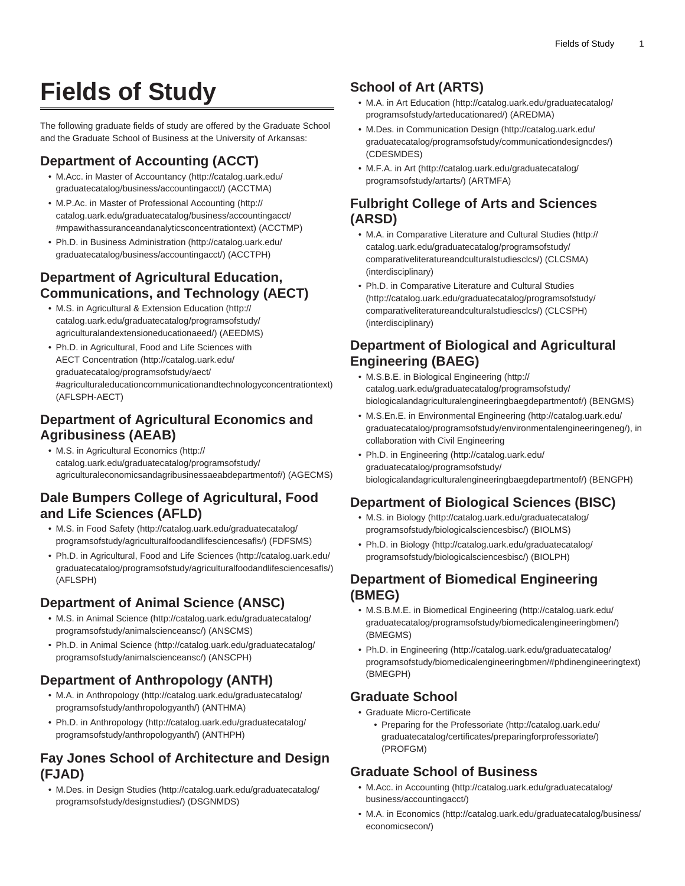# **Fields of Study**

The following graduate fields of study are offered by the Graduate School and the Graduate School of Business at the University of Arkansas:

# **Department of Accounting (ACCT)**

- M.Acc. in [Master of Accountancy](http://catalog.uark.edu/graduatecatalog/business/accountingacct/) [\(http://catalog.uark.edu/](http://catalog.uark.edu/graduatecatalog/business/accountingacct/) [graduatecatalog/business/accountingacct/\)](http://catalog.uark.edu/graduatecatalog/business/accountingacct/) (ACCTMA)
- M.P.Ac. in [Master of Professional Accounting](http://catalog.uark.edu/graduatecatalog/business/accountingacct/#mpawithassuranceandanalyticsconcentrationtext) ([http://](http://catalog.uark.edu/graduatecatalog/business/accountingacct/#mpawithassuranceandanalyticsconcentrationtext) [catalog.uark.edu/graduatecatalog/business/accountingacct/](http://catalog.uark.edu/graduatecatalog/business/accountingacct/#mpawithassuranceandanalyticsconcentrationtext) [#mpawithassuranceandanalyticsconcentrationtext\)](http://catalog.uark.edu/graduatecatalog/business/accountingacct/#mpawithassuranceandanalyticsconcentrationtext) (ACCTMP)
- Ph.D. in [Business Administration](http://catalog.uark.edu/graduatecatalog/business/accountingacct/) ([http://catalog.uark.edu/](http://catalog.uark.edu/graduatecatalog/business/accountingacct/) [graduatecatalog/business/accountingacct/\)](http://catalog.uark.edu/graduatecatalog/business/accountingacct/) (ACCTPH)

### **Department of Agricultural Education, Communications, and Technology (AECT)**

- M.S. in [Agricultural & Extension Education](http://catalog.uark.edu/graduatecatalog/programsofstudy/agriculturalandextensioneducationaeed/) ([http://](http://catalog.uark.edu/graduatecatalog/programsofstudy/agriculturalandextensioneducationaeed/) [catalog.uark.edu/graduatecatalog/programsofstudy/](http://catalog.uark.edu/graduatecatalog/programsofstudy/agriculturalandextensioneducationaeed/) [agriculturalandextensioneducationaeed/](http://catalog.uark.edu/graduatecatalog/programsofstudy/agriculturalandextensioneducationaeed/)) (AEEDMS)
- Ph.D. in [Agricultural, Food and Life Sciences with](http://catalog.uark.edu/graduatecatalog/programsofstudy/aect/#agriculturaleducationcommunicationandtechnologyconcentrationtext) [AECT Concentration](http://catalog.uark.edu/graduatecatalog/programsofstudy/aect/#agriculturaleducationcommunicationandtechnologyconcentrationtext) [\(http://catalog.uark.edu/](http://catalog.uark.edu/graduatecatalog/programsofstudy/aect/#agriculturaleducationcommunicationandtechnologyconcentrationtext) [graduatecatalog/programsofstudy/aect/](http://catalog.uark.edu/graduatecatalog/programsofstudy/aect/#agriculturaleducationcommunicationandtechnologyconcentrationtext) [#agriculturaleducationcommunicationandtechnologyconcentrationtext](http://catalog.uark.edu/graduatecatalog/programsofstudy/aect/#agriculturaleducationcommunicationandtechnologyconcentrationtext)) (AFLSPH-AECT)

### **Department of Agricultural Economics and Agribusiness (AEAB)**

• M.S. in [Agricultural Economics](http://catalog.uark.edu/graduatecatalog/programsofstudy/agriculturaleconomicsandagribusinessaeabdepartmentof/) [\(http://](http://catalog.uark.edu/graduatecatalog/programsofstudy/agriculturaleconomicsandagribusinessaeabdepartmentof/) [catalog.uark.edu/graduatecatalog/programsofstudy/](http://catalog.uark.edu/graduatecatalog/programsofstudy/agriculturaleconomicsandagribusinessaeabdepartmentof/) [agriculturaleconomicsandagribusinessaeabdepartmentof/\)](http://catalog.uark.edu/graduatecatalog/programsofstudy/agriculturaleconomicsandagribusinessaeabdepartmentof/) (AGECMS)

### **Dale Bumpers College of Agricultural, Food and Life Sciences (AFLD)**

- M.S. in [Food Safety](http://catalog.uark.edu/graduatecatalog/programsofstudy/agriculturalfoodandlifesciencesafls/) [\(http://catalog.uark.edu/graduatecatalog/](http://catalog.uark.edu/graduatecatalog/programsofstudy/agriculturalfoodandlifesciencesafls/) [programsofstudy/agriculturalfoodandlifesciencesafls/\)](http://catalog.uark.edu/graduatecatalog/programsofstudy/agriculturalfoodandlifesciencesafls/) (FDFSMS)
- Ph.D. in [Agricultural, Food and Life Sciences](http://catalog.uark.edu/graduatecatalog/programsofstudy/agriculturalfoodandlifesciencesafls/) ([http://catalog.uark.edu/](http://catalog.uark.edu/graduatecatalog/programsofstudy/agriculturalfoodandlifesciencesafls/) [graduatecatalog/programsofstudy/agriculturalfoodandlifesciencesafls/](http://catalog.uark.edu/graduatecatalog/programsofstudy/agriculturalfoodandlifesciencesafls/)) (AFLSPH)

# **Department of Animal Science (ANSC)**

- M.S. in [Animal Science](http://catalog.uark.edu/graduatecatalog/programsofstudy/animalscienceansc/) [\(http://catalog.uark.edu/graduatecatalog/](http://catalog.uark.edu/graduatecatalog/programsofstudy/animalscienceansc/) [programsofstudy/animalscienceansc/\)](http://catalog.uark.edu/graduatecatalog/programsofstudy/animalscienceansc/) (ANSCMS)
- Ph.D. in [Animal Science](http://catalog.uark.edu/graduatecatalog/programsofstudy/animalscienceansc/) ([http://catalog.uark.edu/graduatecatalog/](http://catalog.uark.edu/graduatecatalog/programsofstudy/animalscienceansc/) [programsofstudy/animalscienceansc/\)](http://catalog.uark.edu/graduatecatalog/programsofstudy/animalscienceansc/) (ANSCPH)

# **Department of Anthropology (ANTH)**

- M.A. in [Anthropology](http://catalog.uark.edu/graduatecatalog/programsofstudy/anthropologyanth/) [\(http://catalog.uark.edu/graduatecatalog/](http://catalog.uark.edu/graduatecatalog/programsofstudy/anthropologyanth/) [programsofstudy/anthropologyanth/\)](http://catalog.uark.edu/graduatecatalog/programsofstudy/anthropologyanth/) (ANTHMA)
- Ph.D. in [Anthropology](http://catalog.uark.edu/graduatecatalog/programsofstudy/anthropologyanth/) ([http://catalog.uark.edu/graduatecatalog/](http://catalog.uark.edu/graduatecatalog/programsofstudy/anthropologyanth/) [programsofstudy/anthropologyanth/\)](http://catalog.uark.edu/graduatecatalog/programsofstudy/anthropologyanth/) (ANTHPH)

### **Fay Jones School of Architecture and Design (FJAD)**

• M.Des. in [Design Studies](http://catalog.uark.edu/graduatecatalog/programsofstudy/designstudies/) ([http://catalog.uark.edu/graduatecatalog/](http://catalog.uark.edu/graduatecatalog/programsofstudy/designstudies/) [programsofstudy/designstudies/\)](http://catalog.uark.edu/graduatecatalog/programsofstudy/designstudies/) (DSGNMDS)

# **School of Art (ARTS)**

- M.A. in [Art Education](http://catalog.uark.edu/graduatecatalog/programsofstudy/arteducationared/) [\(http://catalog.uark.edu/graduatecatalog/](http://catalog.uark.edu/graduatecatalog/programsofstudy/arteducationared/) [programsofstudy/arteducationared/](http://catalog.uark.edu/graduatecatalog/programsofstudy/arteducationared/)) (AREDMA)
- M.Des. in [Communication Design](http://catalog.uark.edu/graduatecatalog/programsofstudy/communicationdesigncdes/) ([http://catalog.uark.edu/](http://catalog.uark.edu/graduatecatalog/programsofstudy/communicationdesigncdes/) [graduatecatalog/programsofstudy/communicationdesigncdes/](http://catalog.uark.edu/graduatecatalog/programsofstudy/communicationdesigncdes/)) (CDESMDES)
- M.F.A. in [Art](http://catalog.uark.edu/graduatecatalog/programsofstudy/artarts/) ([http://catalog.uark.edu/graduatecatalog/](http://catalog.uark.edu/graduatecatalog/programsofstudy/artarts/) [programsofstudy/artarts/\)](http://catalog.uark.edu/graduatecatalog/programsofstudy/artarts/) (ARTMFA)

### **Fulbright College of Arts and Sciences (ARSD)**

- M.A. in [Comparative Literature and Cultural Studies](http://catalog.uark.edu/graduatecatalog/programsofstudy/comparativeliteratureandculturalstudiesclcs/) ([http://](http://catalog.uark.edu/graduatecatalog/programsofstudy/comparativeliteratureandculturalstudiesclcs/) [catalog.uark.edu/graduatecatalog/programsofstudy/](http://catalog.uark.edu/graduatecatalog/programsofstudy/comparativeliteratureandculturalstudiesclcs/) [comparativeliteratureandculturalstudiesclcs/](http://catalog.uark.edu/graduatecatalog/programsofstudy/comparativeliteratureandculturalstudiesclcs/)) (CLCSMA) (interdisciplinary)
- Ph.D. in [Comparative Literature and Cultural Studies](http://catalog.uark.edu/graduatecatalog/programsofstudy/comparativeliteratureandculturalstudiesclcs/) ([http://catalog.uark.edu/graduatecatalog/programsofstudy/](http://catalog.uark.edu/graduatecatalog/programsofstudy/comparativeliteratureandculturalstudiesclcs/) [comparativeliteratureandculturalstudiesclcs/](http://catalog.uark.edu/graduatecatalog/programsofstudy/comparativeliteratureandculturalstudiesclcs/)) (CLCSPH) (interdisciplinary)

### **Department of Biological and Agricultural Engineering (BAEG)**

- M.S.B.E. in [Biological Engineering \(http://](http://catalog.uark.edu/graduatecatalog/programsofstudy/biologicalandagriculturalengineeringbaegdepartmentof/) [catalog.uark.edu/graduatecatalog/programsofstudy/](http://catalog.uark.edu/graduatecatalog/programsofstudy/biologicalandagriculturalengineeringbaegdepartmentof/) [biologicalandagriculturalengineeringbaegdepartmentof/\)](http://catalog.uark.edu/graduatecatalog/programsofstudy/biologicalandagriculturalengineeringbaegdepartmentof/) (BENGMS)
- M.S.En.E. in [Environmental Engineering](http://catalog.uark.edu/graduatecatalog/programsofstudy/environmentalengineeringeneg/) ([http://catalog.uark.edu/](http://catalog.uark.edu/graduatecatalog/programsofstudy/environmentalengineeringeneg/) [graduatecatalog/programsofstudy/environmentalengineeringeneg/\)](http://catalog.uark.edu/graduatecatalog/programsofstudy/environmentalengineeringeneg/), in collaboration with Civil Engineering
- Ph.D. in [Engineering \(http://catalog.uark.edu/](http://catalog.uark.edu/graduatecatalog/programsofstudy/biologicalandagriculturalengineeringbaegdepartmentof/) [graduatecatalog/programsofstudy/](http://catalog.uark.edu/graduatecatalog/programsofstudy/biologicalandagriculturalengineeringbaegdepartmentof/) [biologicalandagriculturalengineeringbaegdepartmentof/\)](http://catalog.uark.edu/graduatecatalog/programsofstudy/biologicalandagriculturalengineeringbaegdepartmentof/) (BENGPH)

# **Department of Biological Sciences (BISC)**

- M.S. in [Biology \(http://catalog.uark.edu/graduatecatalog/](http://catalog.uark.edu/graduatecatalog/programsofstudy/biologicalsciencesbisc/) [programsofstudy/biologicalsciencesbisc/\)](http://catalog.uark.edu/graduatecatalog/programsofstudy/biologicalsciencesbisc/) (BIOLMS)
- Ph.D. in [Biology](http://catalog.uark.edu/graduatecatalog/programsofstudy/biologicalsciencesbisc/) ([http://catalog.uark.edu/graduatecatalog/](http://catalog.uark.edu/graduatecatalog/programsofstudy/biologicalsciencesbisc/) [programsofstudy/biologicalsciencesbisc/\)](http://catalog.uark.edu/graduatecatalog/programsofstudy/biologicalsciencesbisc/) (BIOLPH)

### **Department of Biomedical Engineering (BMEG)**

- M.S.B.M.E. in [Biomedical Engineering](http://catalog.uark.edu/graduatecatalog/programsofstudy/biomedicalengineeringbmen/) [\(http://catalog.uark.edu/](http://catalog.uark.edu/graduatecatalog/programsofstudy/biomedicalengineeringbmen/) [graduatecatalog/programsofstudy/biomedicalengineeringbmen/\)](http://catalog.uark.edu/graduatecatalog/programsofstudy/biomedicalengineeringbmen/) (BMEGMS)
- Ph.D. in [Engineering \(http://catalog.uark.edu/graduatecatalog/](http://catalog.uark.edu/graduatecatalog/programsofstudy/biomedicalengineeringbmen/#phdinengineeringtext) [programsofstudy/biomedicalengineeringbmen/#phdinengineeringtext\)](http://catalog.uark.edu/graduatecatalog/programsofstudy/biomedicalengineeringbmen/#phdinengineeringtext) (BMEGPH)

# **Graduate School**

- Graduate Micro-Certificate
	- [Preparing for the Professoriate](http://catalog.uark.edu/graduatecatalog/certificates/preparingforprofessoriate/) [\(http://catalog.uark.edu/](http://catalog.uark.edu/graduatecatalog/certificates/preparingforprofessoriate/) [graduatecatalog/certificates/preparingforprofessoriate/\)](http://catalog.uark.edu/graduatecatalog/certificates/preparingforprofessoriate/) (PROFGM)

### **Graduate School of Business**

- M.Acc. in [Accounting](http://catalog.uark.edu/graduatecatalog/business/accountingacct/) ([http://catalog.uark.edu/graduatecatalog/](http://catalog.uark.edu/graduatecatalog/business/accountingacct/) [business/accountingacct/\)](http://catalog.uark.edu/graduatecatalog/business/accountingacct/)
- M.A. in [Economics](http://catalog.uark.edu/graduatecatalog/business/economicsecon/) [\(http://catalog.uark.edu/graduatecatalog/business/](http://catalog.uark.edu/graduatecatalog/business/economicsecon/) [economicsecon/](http://catalog.uark.edu/graduatecatalog/business/economicsecon/))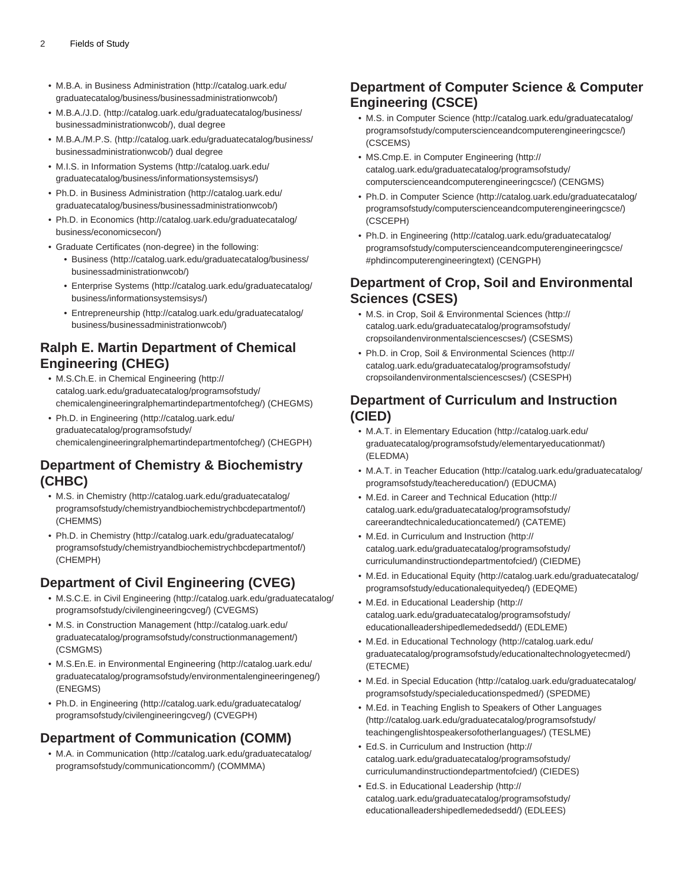- M.B.A. in [Business Administration](http://catalog.uark.edu/graduatecatalog/business/businessadministrationwcob/) ([http://catalog.uark.edu/](http://catalog.uark.edu/graduatecatalog/business/businessadministrationwcob/) [graduatecatalog/business/businessadministrationwcob/\)](http://catalog.uark.edu/graduatecatalog/business/businessadministrationwcob/)
- [M.B.A./J.D.](http://catalog.uark.edu/graduatecatalog/business/businessadministrationwcob/) [\(http://catalog.uark.edu/graduatecatalog/business/](http://catalog.uark.edu/graduatecatalog/business/businessadministrationwcob/) [businessadministrationwcob/](http://catalog.uark.edu/graduatecatalog/business/businessadministrationwcob/)), dual degree
- [M.B.A./M.P.S.](http://catalog.uark.edu/graduatecatalog/business/businessadministrationwcob/) [\(http://catalog.uark.edu/graduatecatalog/business/](http://catalog.uark.edu/graduatecatalog/business/businessadministrationwcob/) [businessadministrationwcob/](http://catalog.uark.edu/graduatecatalog/business/businessadministrationwcob/)) dual degree
- M.I.S. in [Information Systems](http://catalog.uark.edu/graduatecatalog/business/informationsystemsisys/) [\(http://catalog.uark.edu/](http://catalog.uark.edu/graduatecatalog/business/informationsystemsisys/) [graduatecatalog/business/informationsystemsisys/](http://catalog.uark.edu/graduatecatalog/business/informationsystemsisys/))
- Ph.D. in [Business Administration](http://catalog.uark.edu/graduatecatalog/business/businessadministrationwcob/) ([http://catalog.uark.edu/](http://catalog.uark.edu/graduatecatalog/business/businessadministrationwcob/) [graduatecatalog/business/businessadministrationwcob/\)](http://catalog.uark.edu/graduatecatalog/business/businessadministrationwcob/)
- Ph.D. in [Economics](http://catalog.uark.edu/graduatecatalog/business/economicsecon/) ([http://catalog.uark.edu/graduatecatalog/](http://catalog.uark.edu/graduatecatalog/business/economicsecon/) [business/economicsecon/\)](http://catalog.uark.edu/graduatecatalog/business/economicsecon/)
- Graduate Certificates (non-degree) in the following:
	- [Business](http://catalog.uark.edu/graduatecatalog/business/businessadministrationwcob/) [\(http://catalog.uark.edu/graduatecatalog/business/](http://catalog.uark.edu/graduatecatalog/business/businessadministrationwcob/) [businessadministrationwcob/](http://catalog.uark.edu/graduatecatalog/business/businessadministrationwcob/))
	- [Enterprise Systems](http://catalog.uark.edu/graduatecatalog/business/informationsystemsisys/) [\(http://catalog.uark.edu/graduatecatalog/](http://catalog.uark.edu/graduatecatalog/business/informationsystemsisys/) [business/informationsystemsisys/\)](http://catalog.uark.edu/graduatecatalog/business/informationsystemsisys/)
	- [Entrepreneurship](http://catalog.uark.edu/graduatecatalog/business/businessadministrationwcob/) [\(http://catalog.uark.edu/graduatecatalog/](http://catalog.uark.edu/graduatecatalog/business/businessadministrationwcob/) [business/businessadministrationwcob/](http://catalog.uark.edu/graduatecatalog/business/businessadministrationwcob/))

### **Ralph E. Martin Department of Chemical Engineering (CHEG)**

- M.S.Ch.E. in [Chemical Engineering](http://catalog.uark.edu/graduatecatalog/programsofstudy/chemicalengineeringralphemartindepartmentofcheg/) [\(http://](http://catalog.uark.edu/graduatecatalog/programsofstudy/chemicalengineeringralphemartindepartmentofcheg/) [catalog.uark.edu/graduatecatalog/programsofstudy/](http://catalog.uark.edu/graduatecatalog/programsofstudy/chemicalengineeringralphemartindepartmentofcheg/) [chemicalengineeringralphemartindepartmentofcheg/\)](http://catalog.uark.edu/graduatecatalog/programsofstudy/chemicalengineeringralphemartindepartmentofcheg/) (CHEGMS)
- Ph.D. in [Engineering](http://catalog.uark.edu/graduatecatalog/programsofstudy/chemicalengineeringralphemartindepartmentofcheg/) [\(http://catalog.uark.edu/](http://catalog.uark.edu/graduatecatalog/programsofstudy/chemicalengineeringralphemartindepartmentofcheg/) [graduatecatalog/programsofstudy/](http://catalog.uark.edu/graduatecatalog/programsofstudy/chemicalengineeringralphemartindepartmentofcheg/) [chemicalengineeringralphemartindepartmentofcheg/\)](http://catalog.uark.edu/graduatecatalog/programsofstudy/chemicalengineeringralphemartindepartmentofcheg/) (CHEGPH)

### **Department of Chemistry & Biochemistry (CHBC)**

- M.S. in [Chemistry](http://catalog.uark.edu/graduatecatalog/programsofstudy/chemistryandbiochemistrychbcdepartmentof/) [\(http://catalog.uark.edu/graduatecatalog/](http://catalog.uark.edu/graduatecatalog/programsofstudy/chemistryandbiochemistrychbcdepartmentof/) [programsofstudy/chemistryandbiochemistrychbcdepartmentof/\)](http://catalog.uark.edu/graduatecatalog/programsofstudy/chemistryandbiochemistrychbcdepartmentof/) (CHEMMS)
- Ph.D. in [Chemistry](http://catalog.uark.edu/graduatecatalog/programsofstudy/chemistryandbiochemistrychbcdepartmentof/) ([http://catalog.uark.edu/graduatecatalog/](http://catalog.uark.edu/graduatecatalog/programsofstudy/chemistryandbiochemistrychbcdepartmentof/) [programsofstudy/chemistryandbiochemistrychbcdepartmentof/\)](http://catalog.uark.edu/graduatecatalog/programsofstudy/chemistryandbiochemistrychbcdepartmentof/) (CHEMPH)

### **Department of Civil Engineering (CVEG)**

- M.S.C.E. in [Civil Engineering](http://catalog.uark.edu/graduatecatalog/programsofstudy/civilengineeringcveg/) ([http://catalog.uark.edu/graduatecatalog/](http://catalog.uark.edu/graduatecatalog/programsofstudy/civilengineeringcveg/) [programsofstudy/civilengineeringcveg/](http://catalog.uark.edu/graduatecatalog/programsofstudy/civilengineeringcveg/)) (CVEGMS)
- M.S. in [Construction Management](http://catalog.uark.edu/graduatecatalog/programsofstudy/constructionmanagement/) ([http://catalog.uark.edu/](http://catalog.uark.edu/graduatecatalog/programsofstudy/constructionmanagement/) [graduatecatalog/programsofstudy/constructionmanagement/](http://catalog.uark.edu/graduatecatalog/programsofstudy/constructionmanagement/)) (CSMGMS)
- M.S.En.E. in [Environmental Engineering](http://catalog.uark.edu/graduatecatalog/programsofstudy/environmentalengineeringeneg/) ([http://catalog.uark.edu/](http://catalog.uark.edu/graduatecatalog/programsofstudy/environmentalengineeringeneg/) [graduatecatalog/programsofstudy/environmentalengineeringeneg/](http://catalog.uark.edu/graduatecatalog/programsofstudy/environmentalengineeringeneg/)) (ENEGMS)
- Ph.D. in [Engineering](http://catalog.uark.edu/graduatecatalog/programsofstudy/civilengineeringcveg/) [\(http://catalog.uark.edu/graduatecatalog/](http://catalog.uark.edu/graduatecatalog/programsofstudy/civilengineeringcveg/) [programsofstudy/civilengineeringcveg/](http://catalog.uark.edu/graduatecatalog/programsofstudy/civilengineeringcveg/)) (CVEGPH)

#### **Department of Communication (COMM)**

• M.A. in [Communication](http://catalog.uark.edu/graduatecatalog/programsofstudy/communicationcomm/) ([http://catalog.uark.edu/graduatecatalog/](http://catalog.uark.edu/graduatecatalog/programsofstudy/communicationcomm/) [programsofstudy/communicationcomm/\)](http://catalog.uark.edu/graduatecatalog/programsofstudy/communicationcomm/) (COMMMA)

### **Department of Computer Science & Computer Engineering (CSCE)**

- M.S. in [Computer Science](http://catalog.uark.edu/graduatecatalog/programsofstudy/computerscienceandcomputerengineeringcsce/) [\(http://catalog.uark.edu/graduatecatalog/](http://catalog.uark.edu/graduatecatalog/programsofstudy/computerscienceandcomputerengineeringcsce/) [programsofstudy/computerscienceandcomputerengineeringcsce/\)](http://catalog.uark.edu/graduatecatalog/programsofstudy/computerscienceandcomputerengineeringcsce/) (CSCEMS)
- MS.Cmp.E. in [Computer Engineering](http://catalog.uark.edu/graduatecatalog/programsofstudy/computerscienceandcomputerengineeringcsce/) ([http://](http://catalog.uark.edu/graduatecatalog/programsofstudy/computerscienceandcomputerengineeringcsce/) [catalog.uark.edu/graduatecatalog/programsofstudy/](http://catalog.uark.edu/graduatecatalog/programsofstudy/computerscienceandcomputerengineeringcsce/) [computerscienceandcomputerengineeringcsce/\)](http://catalog.uark.edu/graduatecatalog/programsofstudy/computerscienceandcomputerengineeringcsce/) (CENGMS)
- Ph.D. in [Computer Science](http://catalog.uark.edu/graduatecatalog/programsofstudy/computerscienceandcomputerengineeringcsce/) ([http://catalog.uark.edu/graduatecatalog/](http://catalog.uark.edu/graduatecatalog/programsofstudy/computerscienceandcomputerengineeringcsce/) [programsofstudy/computerscienceandcomputerengineeringcsce/\)](http://catalog.uark.edu/graduatecatalog/programsofstudy/computerscienceandcomputerengineeringcsce/) (CSCEPH)
- Ph.D. in [Engineering \(http://catalog.uark.edu/graduatecatalog/](http://catalog.uark.edu/graduatecatalog/programsofstudy/computerscienceandcomputerengineeringcsce/#phdincomputerengineeringtext) [programsofstudy/computerscienceandcomputerengineeringcsce/](http://catalog.uark.edu/graduatecatalog/programsofstudy/computerscienceandcomputerengineeringcsce/#phdincomputerengineeringtext) [#phdincomputerengineeringtext](http://catalog.uark.edu/graduatecatalog/programsofstudy/computerscienceandcomputerengineeringcsce/#phdincomputerengineeringtext)) (CENGPH)

#### **Department of Crop, Soil and Environmental Sciences (CSES)**

- M.S. in [Crop, Soil & Environmental Sciences](http://catalog.uark.edu/graduatecatalog/programsofstudy/cropsoilandenvironmentalsciencescses/) ([http://](http://catalog.uark.edu/graduatecatalog/programsofstudy/cropsoilandenvironmentalsciencescses/) [catalog.uark.edu/graduatecatalog/programsofstudy/](http://catalog.uark.edu/graduatecatalog/programsofstudy/cropsoilandenvironmentalsciencescses/) [cropsoilandenvironmentalsciencescses/](http://catalog.uark.edu/graduatecatalog/programsofstudy/cropsoilandenvironmentalsciencescses/)) (CSESMS)
- Ph.D. in [Crop, Soil & Environmental Sciences \(http://](http://catalog.uark.edu/graduatecatalog/programsofstudy/cropsoilandenvironmentalsciencescses/) [catalog.uark.edu/graduatecatalog/programsofstudy/](http://catalog.uark.edu/graduatecatalog/programsofstudy/cropsoilandenvironmentalsciencescses/) [cropsoilandenvironmentalsciencescses/](http://catalog.uark.edu/graduatecatalog/programsofstudy/cropsoilandenvironmentalsciencescses/)) (CSESPH)

#### **Department of Curriculum and Instruction (CIED)**

- M.A.T. in [Elementary Education](http://catalog.uark.edu/graduatecatalog/programsofstudy/elementaryeducationmat/) ([http://catalog.uark.edu/](http://catalog.uark.edu/graduatecatalog/programsofstudy/elementaryeducationmat/) [graduatecatalog/programsofstudy/elementaryeducationmat/](http://catalog.uark.edu/graduatecatalog/programsofstudy/elementaryeducationmat/)) (ELEDMA)
- M.A.T. in [Teacher Education \(http://catalog.uark.edu/graduatecatalog/](http://catalog.uark.edu/graduatecatalog/programsofstudy/teachereducation/) [programsofstudy/teachereducation/\)](http://catalog.uark.edu/graduatecatalog/programsofstudy/teachereducation/) (EDUCMA)
- M.Ed. in [Career and Technical Education](http://catalog.uark.edu/graduatecatalog/programsofstudy/careerandtechnicaleducationcatemed/) ([http://](http://catalog.uark.edu/graduatecatalog/programsofstudy/careerandtechnicaleducationcatemed/) [catalog.uark.edu/graduatecatalog/programsofstudy/](http://catalog.uark.edu/graduatecatalog/programsofstudy/careerandtechnicaleducationcatemed/) [careerandtechnicaleducationcatemed/](http://catalog.uark.edu/graduatecatalog/programsofstudy/careerandtechnicaleducationcatemed/)) (CATEME)
- M.Ed. in [Curriculum and Instruction](http://catalog.uark.edu/graduatecatalog/programsofstudy/curriculumandinstructiondepartmentofcied/) [\(http://](http://catalog.uark.edu/graduatecatalog/programsofstudy/curriculumandinstructiondepartmentofcied/) [catalog.uark.edu/graduatecatalog/programsofstudy/](http://catalog.uark.edu/graduatecatalog/programsofstudy/curriculumandinstructiondepartmentofcied/) [curriculumandinstructiondepartmentofcied/\)](http://catalog.uark.edu/graduatecatalog/programsofstudy/curriculumandinstructiondepartmentofcied/) (CIEDME)
- M.Ed. in [Educational Equity](http://catalog.uark.edu/graduatecatalog/programsofstudy/educationalequityedeq/) ([http://catalog.uark.edu/graduatecatalog/](http://catalog.uark.edu/graduatecatalog/programsofstudy/educationalequityedeq/) [programsofstudy/educationalequityedeq/](http://catalog.uark.edu/graduatecatalog/programsofstudy/educationalequityedeq/)) (EDEQME)
- M.Ed. in [Educational Leadership](http://catalog.uark.edu/graduatecatalog/programsofstudy/educationalleadershipedlemededsedd/) [\(http://](http://catalog.uark.edu/graduatecatalog/programsofstudy/educationalleadershipedlemededsedd/) [catalog.uark.edu/graduatecatalog/programsofstudy/](http://catalog.uark.edu/graduatecatalog/programsofstudy/educationalleadershipedlemededsedd/) [educationalleadershipedlemededsedd/](http://catalog.uark.edu/graduatecatalog/programsofstudy/educationalleadershipedlemededsedd/)) (EDLEME)
- M.Ed. in [Educational Technology](http://catalog.uark.edu/graduatecatalog/programsofstudy/educationaltechnologyetecmed/) [\(http://catalog.uark.edu/](http://catalog.uark.edu/graduatecatalog/programsofstudy/educationaltechnologyetecmed/) [graduatecatalog/programsofstudy/educationaltechnologyetecmed/](http://catalog.uark.edu/graduatecatalog/programsofstudy/educationaltechnologyetecmed/)) (ETECME)
- M.Ed. in [Special Education](http://catalog.uark.edu/graduatecatalog/programsofstudy/specialeducationspedmed/) ([http://catalog.uark.edu/graduatecatalog/](http://catalog.uark.edu/graduatecatalog/programsofstudy/specialeducationspedmed/) [programsofstudy/specialeducationspedmed/\)](http://catalog.uark.edu/graduatecatalog/programsofstudy/specialeducationspedmed/) (SPEDME)
- M.Ed. in [Teaching English to Speakers of Other Languages](http://catalog.uark.edu/graduatecatalog/programsofstudy/teachingenglishtospeakersofotherlanguages/) ([http://catalog.uark.edu/graduatecatalog/programsofstudy/](http://catalog.uark.edu/graduatecatalog/programsofstudy/teachingenglishtospeakersofotherlanguages/) [teachingenglishtospeakersofotherlanguages/\)](http://catalog.uark.edu/graduatecatalog/programsofstudy/teachingenglishtospeakersofotherlanguages/) (TESLME)
- Ed.S. in [Curriculum and Instruction](http://catalog.uark.edu/graduatecatalog/programsofstudy/curriculumandinstructiondepartmentofcied/) ([http://](http://catalog.uark.edu/graduatecatalog/programsofstudy/curriculumandinstructiondepartmentofcied/) [catalog.uark.edu/graduatecatalog/programsofstudy/](http://catalog.uark.edu/graduatecatalog/programsofstudy/curriculumandinstructiondepartmentofcied/) [curriculumandinstructiondepartmentofcied/\)](http://catalog.uark.edu/graduatecatalog/programsofstudy/curriculumandinstructiondepartmentofcied/) (CIEDES)
- Ed.S. in [Educational Leadership](http://catalog.uark.edu/graduatecatalog/programsofstudy/educationalleadershipedlemededsedd/) ([http://](http://catalog.uark.edu/graduatecatalog/programsofstudy/educationalleadershipedlemededsedd/) [catalog.uark.edu/graduatecatalog/programsofstudy/](http://catalog.uark.edu/graduatecatalog/programsofstudy/educationalleadershipedlemededsedd/) [educationalleadershipedlemededsedd/](http://catalog.uark.edu/graduatecatalog/programsofstudy/educationalleadershipedlemededsedd/)) (EDLEES)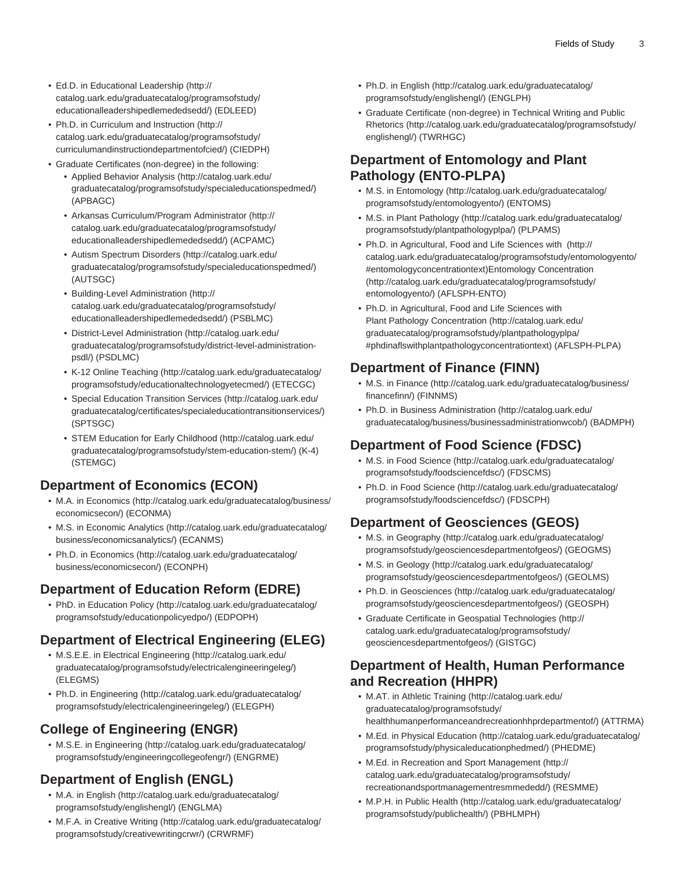- Ed.D. in [Educational Leadership](http://catalog.uark.edu/graduatecatalog/programsofstudy/educationalleadershipedlemededsedd/) [\(http://](http://catalog.uark.edu/graduatecatalog/programsofstudy/educationalleadershipedlemededsedd/) [catalog.uark.edu/graduatecatalog/programsofstudy/](http://catalog.uark.edu/graduatecatalog/programsofstudy/educationalleadershipedlemededsedd/) [educationalleadershipedlemededsedd/\)](http://catalog.uark.edu/graduatecatalog/programsofstudy/educationalleadershipedlemededsedd/) (EDLEED)
- Ph.D. in [Curriculum and Instruction](http://catalog.uark.edu/graduatecatalog/programsofstudy/curriculumandinstructiondepartmentofcied/) ([http://](http://catalog.uark.edu/graduatecatalog/programsofstudy/curriculumandinstructiondepartmentofcied/) [catalog.uark.edu/graduatecatalog/programsofstudy/](http://catalog.uark.edu/graduatecatalog/programsofstudy/curriculumandinstructiondepartmentofcied/) [curriculumandinstructiondepartmentofcied/\)](http://catalog.uark.edu/graduatecatalog/programsofstudy/curriculumandinstructiondepartmentofcied/) (CIEDPH)
- Graduate Certificates (non-degree) in the following:
	- [Applied Behavior Analysis](http://catalog.uark.edu/graduatecatalog/programsofstudy/specialeducationspedmed/) [\(http://catalog.uark.edu/](http://catalog.uark.edu/graduatecatalog/programsofstudy/specialeducationspedmed/) [graduatecatalog/programsofstudy/specialeducationspedmed/](http://catalog.uark.edu/graduatecatalog/programsofstudy/specialeducationspedmed/)) (APBAGC)
	- [Arkansas Curriculum/Program Administrator](http://catalog.uark.edu/graduatecatalog/programsofstudy/educationalleadershipedlemededsedd/) [\(http://](http://catalog.uark.edu/graduatecatalog/programsofstudy/educationalleadershipedlemededsedd/) [catalog.uark.edu/graduatecatalog/programsofstudy/](http://catalog.uark.edu/graduatecatalog/programsofstudy/educationalleadershipedlemededsedd/) [educationalleadershipedlemededsedd/\)](http://catalog.uark.edu/graduatecatalog/programsofstudy/educationalleadershipedlemededsedd/) (ACPAMC)
	- [Autism Spectrum Disorders](http://catalog.uark.edu/graduatecatalog/programsofstudy/specialeducationspedmed/) [\(http://catalog.uark.edu/](http://catalog.uark.edu/graduatecatalog/programsofstudy/specialeducationspedmed/) [graduatecatalog/programsofstudy/specialeducationspedmed/](http://catalog.uark.edu/graduatecatalog/programsofstudy/specialeducationspedmed/)) (AUTSGC)
	- [Building-Level Administration](http://catalog.uark.edu/graduatecatalog/programsofstudy/educationalleadershipedlemededsedd/) [\(http://](http://catalog.uark.edu/graduatecatalog/programsofstudy/educationalleadershipedlemededsedd/) [catalog.uark.edu/graduatecatalog/programsofstudy/](http://catalog.uark.edu/graduatecatalog/programsofstudy/educationalleadershipedlemededsedd/) [educationalleadershipedlemededsedd/\)](http://catalog.uark.edu/graduatecatalog/programsofstudy/educationalleadershipedlemededsedd/) (PSBLMC)
	- [District-Level Administration](http://catalog.uark.edu/graduatecatalog/programsofstudy/district-level-administration-psdl/) [\(http://catalog.uark.edu/](http://catalog.uark.edu/graduatecatalog/programsofstudy/district-level-administration-psdl/) [graduatecatalog/programsofstudy/district-level-administration](http://catalog.uark.edu/graduatecatalog/programsofstudy/district-level-administration-psdl/)[psdl/\)](http://catalog.uark.edu/graduatecatalog/programsofstudy/district-level-administration-psdl/) (PSDLMC)
	- [K-12 Online Teaching](http://catalog.uark.edu/graduatecatalog/programsofstudy/educationaltechnologyetecmed/) [\(http://catalog.uark.edu/graduatecatalog/](http://catalog.uark.edu/graduatecatalog/programsofstudy/educationaltechnologyetecmed/) [programsofstudy/educationaltechnologyetecmed/](http://catalog.uark.edu/graduatecatalog/programsofstudy/educationaltechnologyetecmed/)) (ETECGC)
	- [Special Education Transition Services](http://catalog.uark.edu/graduatecatalog/certificates/specialeducationtransitionservices/) [\(http://catalog.uark.edu/](http://catalog.uark.edu/graduatecatalog/certificates/specialeducationtransitionservices/) [graduatecatalog/certificates/specialeducationtransitionservices/\)](http://catalog.uark.edu/graduatecatalog/certificates/specialeducationtransitionservices/) (SPTSGC)
	- [STEM Education for Early Childhood](http://catalog.uark.edu/graduatecatalog/programsofstudy/stem-education-stem/) [\(http://catalog.uark.edu/](http://catalog.uark.edu/graduatecatalog/programsofstudy/stem-education-stem/) [graduatecatalog/programsofstudy/stem-education-stem/](http://catalog.uark.edu/graduatecatalog/programsofstudy/stem-education-stem/)) (K-4) (STEMGC)

### **Department of Economics (ECON)**

- M.A. in [Economics](http://catalog.uark.edu/graduatecatalog/business/economicsecon/) [\(http://catalog.uark.edu/graduatecatalog/business/](http://catalog.uark.edu/graduatecatalog/business/economicsecon/) [economicsecon/\)](http://catalog.uark.edu/graduatecatalog/business/economicsecon/) (ECONMA)
- M.S. in [Economic Analytics](http://catalog.uark.edu/graduatecatalog/business/economicsanalytics/) [\(http://catalog.uark.edu/graduatecatalog/](http://catalog.uark.edu/graduatecatalog/business/economicsanalytics/) [business/economicsanalytics/](http://catalog.uark.edu/graduatecatalog/business/economicsanalytics/)) (ECANMS)
- Ph.D. in [Economics](http://catalog.uark.edu/graduatecatalog/business/economicsecon/) ([http://catalog.uark.edu/graduatecatalog/](http://catalog.uark.edu/graduatecatalog/business/economicsecon/) [business/economicsecon/\)](http://catalog.uark.edu/graduatecatalog/business/economicsecon/) (ECONPH)

### **Department of Education Reform (EDRE)**

• PhD. in [Education Policy \(http://catalog.uark.edu/graduatecatalog/](http://catalog.uark.edu/graduatecatalog/programsofstudy/educationpolicyedpo/) [programsofstudy/educationpolicyedpo/\)](http://catalog.uark.edu/graduatecatalog/programsofstudy/educationpolicyedpo/) (EDPOPH)

### **Department of Electrical Engineering (ELEG)**

- M.S.E.E. in [Electrical Engineering \(http://catalog.uark.edu/](http://catalog.uark.edu/graduatecatalog/programsofstudy/electricalengineeringeleg/) [graduatecatalog/programsofstudy/electricalengineeringeleg/](http://catalog.uark.edu/graduatecatalog/programsofstudy/electricalengineeringeleg/)) (ELEGMS)
- Ph.D. in [Engineering](http://catalog.uark.edu/graduatecatalog/programsofstudy/electricalengineeringeleg/) [\(http://catalog.uark.edu/graduatecatalog/](http://catalog.uark.edu/graduatecatalog/programsofstudy/electricalengineeringeleg/) [programsofstudy/electricalengineeringeleg/\)](http://catalog.uark.edu/graduatecatalog/programsofstudy/electricalengineeringeleg/) (ELEGPH)

# **College of Engineering (ENGR)**

• M.S.E. in [Engineering](http://catalog.uark.edu/graduatecatalog/programsofstudy/engineeringcollegeofengr/) [\(http://catalog.uark.edu/graduatecatalog/](http://catalog.uark.edu/graduatecatalog/programsofstudy/engineeringcollegeofengr/) [programsofstudy/engineeringcollegeofengr/\)](http://catalog.uark.edu/graduatecatalog/programsofstudy/engineeringcollegeofengr/) (ENGRME)

# **Department of English (ENGL)**

- M.A. in [English](http://catalog.uark.edu/graduatecatalog/programsofstudy/englishengl/) [\(http://catalog.uark.edu/graduatecatalog/](http://catalog.uark.edu/graduatecatalog/programsofstudy/englishengl/) [programsofstudy/englishengl/](http://catalog.uark.edu/graduatecatalog/programsofstudy/englishengl/)) (ENGLMA)
- M.F.A. in [Creative Writing](http://catalog.uark.edu/graduatecatalog/programsofstudy/creativewritingcrwr/) [\(http://catalog.uark.edu/graduatecatalog/](http://catalog.uark.edu/graduatecatalog/programsofstudy/creativewritingcrwr/) [programsofstudy/creativewritingcrwr/](http://catalog.uark.edu/graduatecatalog/programsofstudy/creativewritingcrwr/)) (CRWRMF)
- Ph.D. in [English](http://catalog.uark.edu/graduatecatalog/programsofstudy/englishengl/) ([http://catalog.uark.edu/graduatecatalog/](http://catalog.uark.edu/graduatecatalog/programsofstudy/englishengl/) [programsofstudy/englishengl/\)](http://catalog.uark.edu/graduatecatalog/programsofstudy/englishengl/) (ENGLPH)
- Graduate Certificate (non-degree) in [Technical Writing and Public](http://catalog.uark.edu/graduatecatalog/programsofstudy/englishengl/) [Rhetorics](http://catalog.uark.edu/graduatecatalog/programsofstudy/englishengl/) ([http://catalog.uark.edu/graduatecatalog/programsofstudy/](http://catalog.uark.edu/graduatecatalog/programsofstudy/englishengl/) [englishengl/\)](http://catalog.uark.edu/graduatecatalog/programsofstudy/englishengl/) (TWRHGC)

### **Department of Entomology and Plant Pathology (ENTO-PLPA)**

- M.S. in [Entomology \(http://catalog.uark.edu/graduatecatalog/](http://catalog.uark.edu/graduatecatalog/programsofstudy/entomologyento/) [programsofstudy/entomologyento/](http://catalog.uark.edu/graduatecatalog/programsofstudy/entomologyento/)) (ENTOMS)
- M.S. in [Plant Pathology](http://catalog.uark.edu/graduatecatalog/programsofstudy/plantpathologyplpa/) [\(http://catalog.uark.edu/graduatecatalog/](http://catalog.uark.edu/graduatecatalog/programsofstudy/plantpathologyplpa/) [programsofstudy/plantpathologyplpa/](http://catalog.uark.edu/graduatecatalog/programsofstudy/plantpathologyplpa/)) (PLPAMS)
- Ph.D. in [Agricultural, Food and Life Sciences with \(http://](http://catalog.uark.edu/graduatecatalog/programsofstudy/entomologyento/#entomologyconcentrationtext) [catalog.uark.edu/graduatecatalog/programsofstudy/entomologyento/](http://catalog.uark.edu/graduatecatalog/programsofstudy/entomologyento/#entomologyconcentrationtext) [#entomologyconcentrationtext\)](http://catalog.uark.edu/graduatecatalog/programsofstudy/entomologyento/#entomologyconcentrationtext)[Entomology Concentration](http://catalog.uark.edu/graduatecatalog/programsofstudy/entomologyento/) ([http://catalog.uark.edu/graduatecatalog/programsofstudy/](http://catalog.uark.edu/graduatecatalog/programsofstudy/entomologyento/) [entomologyento/](http://catalog.uark.edu/graduatecatalog/programsofstudy/entomologyento/)) (AFLSPH-ENTO)
- Ph.D. in [Agricultural, Food and Life Sciences with](http://catalog.uark.edu/graduatecatalog/programsofstudy/plantpathologyplpa/#phdinaflswithplantpathologyconcentrationtext) [Plant Pathology Concentration](http://catalog.uark.edu/graduatecatalog/programsofstudy/plantpathologyplpa/#phdinaflswithplantpathologyconcentrationtext) [\(http://catalog.uark.edu/](http://catalog.uark.edu/graduatecatalog/programsofstudy/plantpathologyplpa/#phdinaflswithplantpathologyconcentrationtext) [graduatecatalog/programsofstudy/plantpathologyplpa/](http://catalog.uark.edu/graduatecatalog/programsofstudy/plantpathologyplpa/#phdinaflswithplantpathologyconcentrationtext) [#phdinaflswithplantpathologyconcentrationtext\)](http://catalog.uark.edu/graduatecatalog/programsofstudy/plantpathologyplpa/#phdinaflswithplantpathologyconcentrationtext) (AFLSPH-PLPA)

### **Department of Finance (FINN)**

- M.S. in [Finance](http://catalog.uark.edu/graduatecatalog/business/financefinn/) ([http://catalog.uark.edu/graduatecatalog/business/](http://catalog.uark.edu/graduatecatalog/business/financefinn/) [financefinn/](http://catalog.uark.edu/graduatecatalog/business/financefinn/)) (FINNMS)
- Ph.D. in [Business Administration](http://catalog.uark.edu/graduatecatalog/business/businessadministrationwcob/) [\(http://catalog.uark.edu/](http://catalog.uark.edu/graduatecatalog/business/businessadministrationwcob/) [graduatecatalog/business/businessadministrationwcob/\)](http://catalog.uark.edu/graduatecatalog/business/businessadministrationwcob/) (BADMPH)

### **Department of Food Science (FDSC)**

- M.S. in [Food Science](http://catalog.uark.edu/graduatecatalog/programsofstudy/foodsciencefdsc/) [\(http://catalog.uark.edu/graduatecatalog/](http://catalog.uark.edu/graduatecatalog/programsofstudy/foodsciencefdsc/) [programsofstudy/foodsciencefdsc/\)](http://catalog.uark.edu/graduatecatalog/programsofstudy/foodsciencefdsc/) (FDSCMS)
- Ph.D. in [Food Science](http://catalog.uark.edu/graduatecatalog/programsofstudy/foodsciencefdsc/) ([http://catalog.uark.edu/graduatecatalog/](http://catalog.uark.edu/graduatecatalog/programsofstudy/foodsciencefdsc/) [programsofstudy/foodsciencefdsc/\)](http://catalog.uark.edu/graduatecatalog/programsofstudy/foodsciencefdsc/) (FDSCPH)

# **Department of Geosciences (GEOS)**

- M.S. in [Geography](http://catalog.uark.edu/graduatecatalog/programsofstudy/geosciencesdepartmentofgeos/) ([http://catalog.uark.edu/graduatecatalog/](http://catalog.uark.edu/graduatecatalog/programsofstudy/geosciencesdepartmentofgeos/) [programsofstudy/geosciencesdepartmentofgeos/](http://catalog.uark.edu/graduatecatalog/programsofstudy/geosciencesdepartmentofgeos/)) (GEOGMS)
- M.S. in [Geology](http://catalog.uark.edu/graduatecatalog/programsofstudy/geosciencesdepartmentofgeos/) ([http://catalog.uark.edu/graduatecatalog/](http://catalog.uark.edu/graduatecatalog/programsofstudy/geosciencesdepartmentofgeos/) [programsofstudy/geosciencesdepartmentofgeos/](http://catalog.uark.edu/graduatecatalog/programsofstudy/geosciencesdepartmentofgeos/)) (GEOLMS)
- Ph.D. in [Geosciences](http://catalog.uark.edu/graduatecatalog/programsofstudy/geosciencesdepartmentofgeos/) [\(http://catalog.uark.edu/graduatecatalog/](http://catalog.uark.edu/graduatecatalog/programsofstudy/geosciencesdepartmentofgeos/) [programsofstudy/geosciencesdepartmentofgeos/](http://catalog.uark.edu/graduatecatalog/programsofstudy/geosciencesdepartmentofgeos/)) (GEOSPH)
- Graduate Certificate in [Geospatial Technologies](http://catalog.uark.edu/graduatecatalog/programsofstudy/geosciencesdepartmentofgeos/) [\(http://](http://catalog.uark.edu/graduatecatalog/programsofstudy/geosciencesdepartmentofgeos/) [catalog.uark.edu/graduatecatalog/programsofstudy/](http://catalog.uark.edu/graduatecatalog/programsofstudy/geosciencesdepartmentofgeos/) [geosciencesdepartmentofgeos/](http://catalog.uark.edu/graduatecatalog/programsofstudy/geosciencesdepartmentofgeos/)) (GISTGC)

#### **Department of Health, Human Performance and Recreation (HHPR)**

- M.AT. in [Athletic Training \(http://catalog.uark.edu/](http://catalog.uark.edu/graduatecatalog/programsofstudy/healthhumanperformanceandrecreationhhprdepartmentof/) [graduatecatalog/programsofstudy/](http://catalog.uark.edu/graduatecatalog/programsofstudy/healthhumanperformanceandrecreationhhprdepartmentof/) [healthhumanperformanceandrecreationhhprdepartmentof/\)](http://catalog.uark.edu/graduatecatalog/programsofstudy/healthhumanperformanceandrecreationhhprdepartmentof/) (ATTRMA)
- M.Ed. in [Physical Education](http://catalog.uark.edu/graduatecatalog/programsofstudy/physicaleducationphedmed/) [\(http://catalog.uark.edu/graduatecatalog/](http://catalog.uark.edu/graduatecatalog/programsofstudy/physicaleducationphedmed/) [programsofstudy/physicaleducationphedmed/](http://catalog.uark.edu/graduatecatalog/programsofstudy/physicaleducationphedmed/)) (PHEDME)
- M.Ed. in [Recreation and Sport Management](http://catalog.uark.edu/graduatecatalog/programsofstudy/recreationandsportmanagementresmmededd/) [\(http://](http://catalog.uark.edu/graduatecatalog/programsofstudy/recreationandsportmanagementresmmededd/) [catalog.uark.edu/graduatecatalog/programsofstudy/](http://catalog.uark.edu/graduatecatalog/programsofstudy/recreationandsportmanagementresmmededd/) [recreationandsportmanagementresmmededd/](http://catalog.uark.edu/graduatecatalog/programsofstudy/recreationandsportmanagementresmmededd/)) (RESMME)
- M.P.H. in [Public Health](http://catalog.uark.edu/graduatecatalog/programsofstudy/publichealth/) [\(http://catalog.uark.edu/graduatecatalog/](http://catalog.uark.edu/graduatecatalog/programsofstudy/publichealth/) [programsofstudy/publichealth/\)](http://catalog.uark.edu/graduatecatalog/programsofstudy/publichealth/) (PBHLMPH)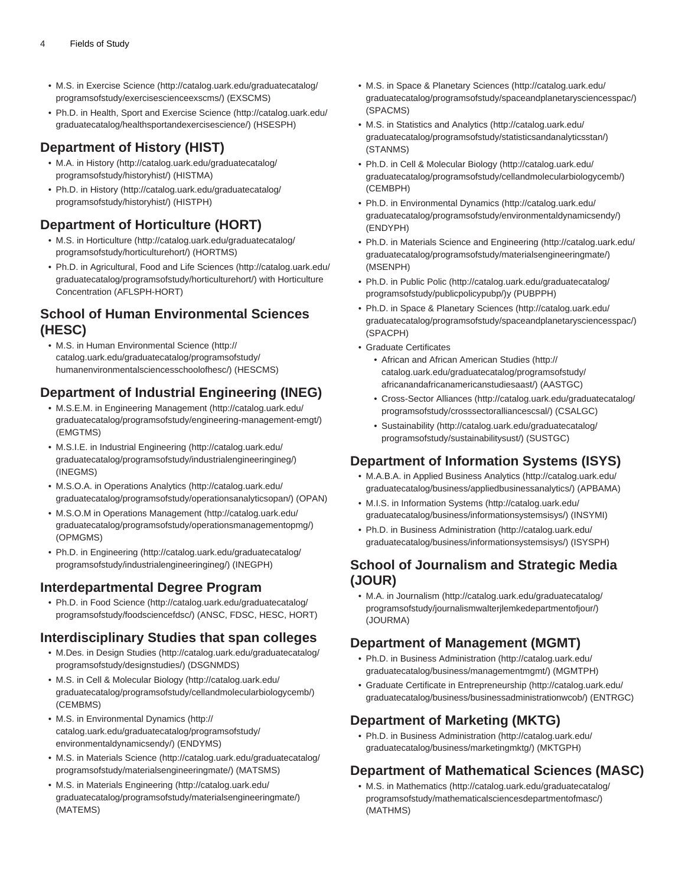- M.S. in [Exercise Science](http://catalog.uark.edu/graduatecatalog/programsofstudy/exercisescienceexscms/) [\(http://catalog.uark.edu/graduatecatalog/](http://catalog.uark.edu/graduatecatalog/programsofstudy/exercisescienceexscms/) [programsofstudy/exercisescienceexscms/](http://catalog.uark.edu/graduatecatalog/programsofstudy/exercisescienceexscms/)) (EXSCMS)
- Ph.D. in [Health, Sport and Exercise Science \(http://catalog.uark.edu/](http://catalog.uark.edu/graduatecatalog/healthsportandexercisescience/) [graduatecatalog/healthsportandexercisescience/\)](http://catalog.uark.edu/graduatecatalog/healthsportandexercisescience/) (HSESPH)

### **Department of History (HIST)**

- M.A. in [History](http://catalog.uark.edu/graduatecatalog/programsofstudy/historyhist/) ([http://catalog.uark.edu/graduatecatalog/](http://catalog.uark.edu/graduatecatalog/programsofstudy/historyhist/) [programsofstudy/historyhist/](http://catalog.uark.edu/graduatecatalog/programsofstudy/historyhist/)) (HISTMA)
- Ph.D. in [History \(http://catalog.uark.edu/graduatecatalog/](http://catalog.uark.edu/graduatecatalog/programsofstudy/historyhist/) [programsofstudy/historyhist/](http://catalog.uark.edu/graduatecatalog/programsofstudy/historyhist/)) (HISTPH)

### **Department of Horticulture (HORT)**

- M.S. in [Horticulture](http://catalog.uark.edu/graduatecatalog/programsofstudy/horticulturehort/) ([http://catalog.uark.edu/graduatecatalog/](http://catalog.uark.edu/graduatecatalog/programsofstudy/horticulturehort/) [programsofstudy/horticulturehort/](http://catalog.uark.edu/graduatecatalog/programsofstudy/horticulturehort/)) (HORTMS)
- Ph.D. in [Agricultural, Food and Life Sciences](http://catalog.uark.edu/graduatecatalog/programsofstudy/horticulturehort/) ([http://catalog.uark.edu/](http://catalog.uark.edu/graduatecatalog/programsofstudy/horticulturehort/) [graduatecatalog/programsofstudy/horticulturehort/\)](http://catalog.uark.edu/graduatecatalog/programsofstudy/horticulturehort/) with Horticulture Concentration (AFLSPH-HORT)

#### **School of Human Environmental Sciences (HESC)**

• M.S. in [Human Environmental Science](http://catalog.uark.edu/graduatecatalog/programsofstudy/humanenvironmentalsciencesschoolofhesc/) ([http://](http://catalog.uark.edu/graduatecatalog/programsofstudy/humanenvironmentalsciencesschoolofhesc/) [catalog.uark.edu/graduatecatalog/programsofstudy/](http://catalog.uark.edu/graduatecatalog/programsofstudy/humanenvironmentalsciencesschoolofhesc/) [humanenvironmentalsciencesschoolofhesc/\)](http://catalog.uark.edu/graduatecatalog/programsofstudy/humanenvironmentalsciencesschoolofhesc/) (HESCMS)

### **Department of Industrial Engineering (INEG)**

- M.S.E.M. in [Engineering Management](http://catalog.uark.edu/graduatecatalog/programsofstudy/engineering-management-emgt/) [\(http://catalog.uark.edu/](http://catalog.uark.edu/graduatecatalog/programsofstudy/engineering-management-emgt/) [graduatecatalog/programsofstudy/engineering-management-emgt/](http://catalog.uark.edu/graduatecatalog/programsofstudy/engineering-management-emgt/)) (EMGTMS)
- M.S.I.E. in [Industrial Engineering](http://catalog.uark.edu/graduatecatalog/programsofstudy/industrialengineeringineg/) [\(http://catalog.uark.edu/](http://catalog.uark.edu/graduatecatalog/programsofstudy/industrialengineeringineg/) [graduatecatalog/programsofstudy/industrialengineeringineg/\)](http://catalog.uark.edu/graduatecatalog/programsofstudy/industrialengineeringineg/) (INEGMS)
- M.S.O.A. in [Operations Analytics](http://catalog.uark.edu/graduatecatalog/programsofstudy/operationsanalyticsopan/) [\(http://catalog.uark.edu/](http://catalog.uark.edu/graduatecatalog/programsofstudy/operationsanalyticsopan/) [graduatecatalog/programsofstudy/operationsanalyticsopan/\)](http://catalog.uark.edu/graduatecatalog/programsofstudy/operationsanalyticsopan/) (OPAN)
- M.S.O.M in [Operations Management](http://catalog.uark.edu/graduatecatalog/programsofstudy/operationsmanagementopmg/) [\(http://catalog.uark.edu/](http://catalog.uark.edu/graduatecatalog/programsofstudy/operationsmanagementopmg/) [graduatecatalog/programsofstudy/operationsmanagementopmg/\)](http://catalog.uark.edu/graduatecatalog/programsofstudy/operationsmanagementopmg/) (OPMGMS)
- Ph.D. in [Engineering](http://catalog.uark.edu/graduatecatalog/programsofstudy/industrialengineeringineg/) [\(http://catalog.uark.edu/graduatecatalog/](http://catalog.uark.edu/graduatecatalog/programsofstudy/industrialengineeringineg/) [programsofstudy/industrialengineeringineg/\)](http://catalog.uark.edu/graduatecatalog/programsofstudy/industrialengineeringineg/) (INEGPH)

### **Interdepartmental Degree Program**

• Ph.D. in [Food Science \(http://catalog.uark.edu/graduatecatalog/](http://catalog.uark.edu/graduatecatalog/programsofstudy/foodsciencefdsc/) [programsofstudy/foodsciencefdsc/](http://catalog.uark.edu/graduatecatalog/programsofstudy/foodsciencefdsc/)) (ANSC, FDSC, HESC, HORT)

### **Interdisciplinary Studies that span colleges**

- M.Des. in [Design Studies](http://catalog.uark.edu/graduatecatalog/programsofstudy/designstudies/) ([http://catalog.uark.edu/graduatecatalog/](http://catalog.uark.edu/graduatecatalog/programsofstudy/designstudies/) [programsofstudy/designstudies/\)](http://catalog.uark.edu/graduatecatalog/programsofstudy/designstudies/) (DSGNMDS)
- M.S. in [Cell & Molecular Biology](http://catalog.uark.edu/graduatecatalog/programsofstudy/cellandmolecularbiologycemb/) ([http://catalog.uark.edu/](http://catalog.uark.edu/graduatecatalog/programsofstudy/cellandmolecularbiologycemb/) [graduatecatalog/programsofstudy/cellandmolecularbiologycemb/\)](http://catalog.uark.edu/graduatecatalog/programsofstudy/cellandmolecularbiologycemb/) (CEMBMS)
- M.S. in [Environmental Dynamics \(http://](http://catalog.uark.edu/graduatecatalog/programsofstudy/environmentaldynamicsendy/) [catalog.uark.edu/graduatecatalog/programsofstudy/](http://catalog.uark.edu/graduatecatalog/programsofstudy/environmentaldynamicsendy/) [environmentaldynamicsendy/\)](http://catalog.uark.edu/graduatecatalog/programsofstudy/environmentaldynamicsendy/) (ENDYMS)
- M.S. in [Materials Science](http://catalog.uark.edu/graduatecatalog/programsofstudy/materialsengineeringmate/) [\(http://catalog.uark.edu/graduatecatalog/](http://catalog.uark.edu/graduatecatalog/programsofstudy/materialsengineeringmate/) [programsofstudy/materialsengineeringmate/](http://catalog.uark.edu/graduatecatalog/programsofstudy/materialsengineeringmate/)) (MATSMS)
- M.S. in [Materials Engineering](http://catalog.uark.edu/graduatecatalog/programsofstudy/materialsengineeringmate/) [\(http://catalog.uark.edu/](http://catalog.uark.edu/graduatecatalog/programsofstudy/materialsengineeringmate/) [graduatecatalog/programsofstudy/materialsengineeringmate/\)](http://catalog.uark.edu/graduatecatalog/programsofstudy/materialsengineeringmate/) (MATEMS)
- M.S. in [Space & Planetary Sciences](http://catalog.uark.edu/graduatecatalog/programsofstudy/spaceandplanetarysciencesspac/) [\(http://catalog.uark.edu/](http://catalog.uark.edu/graduatecatalog/programsofstudy/spaceandplanetarysciencesspac/) [graduatecatalog/programsofstudy/spaceandplanetarysciencesspac/](http://catalog.uark.edu/graduatecatalog/programsofstudy/spaceandplanetarysciencesspac/)) (SPACMS)
- M.S. in [Statistics and Analytics](http://catalog.uark.edu/graduatecatalog/programsofstudy/statisticsandanalyticsstan/) [\(http://catalog.uark.edu/](http://catalog.uark.edu/graduatecatalog/programsofstudy/statisticsandanalyticsstan/) [graduatecatalog/programsofstudy/statisticsandanalyticsstan/](http://catalog.uark.edu/graduatecatalog/programsofstudy/statisticsandanalyticsstan/)) (STANMS)
- Ph.D. in [Cell & Molecular Biology \(http://catalog.uark.edu/](http://catalog.uark.edu/graduatecatalog/programsofstudy/cellandmolecularbiologycemb/) [graduatecatalog/programsofstudy/cellandmolecularbiologycemb/\)](http://catalog.uark.edu/graduatecatalog/programsofstudy/cellandmolecularbiologycemb/) (CEMBPH)
- Ph.D. in [Environmental Dynamics](http://catalog.uark.edu/graduatecatalog/programsofstudy/environmentaldynamicsendy/) [\(http://catalog.uark.edu/](http://catalog.uark.edu/graduatecatalog/programsofstudy/environmentaldynamicsendy/) [graduatecatalog/programsofstudy/environmentaldynamicsendy/](http://catalog.uark.edu/graduatecatalog/programsofstudy/environmentaldynamicsendy/)) (ENDYPH)
- Ph.D. in [Materials Science and Engineering](http://catalog.uark.edu/graduatecatalog/programsofstudy/materialsengineeringmate/) [\(http://catalog.uark.edu/](http://catalog.uark.edu/graduatecatalog/programsofstudy/materialsengineeringmate/) [graduatecatalog/programsofstudy/materialsengineeringmate/\)](http://catalog.uark.edu/graduatecatalog/programsofstudy/materialsengineeringmate/) (MSENPH)
- Ph.D. in [Public Polic](http://catalog.uark.edu/graduatecatalog/programsofstudy/publicpolicypubp/) [\(http://catalog.uark.edu/graduatecatalog/](http://catalog.uark.edu/graduatecatalog/programsofstudy/publicpolicypubp/) [programsofstudy/publicpolicypubp/](http://catalog.uark.edu/graduatecatalog/programsofstudy/publicpolicypubp/))y (PUBPPH)
- Ph.D. in [Space & Planetary Sciences](http://catalog.uark.edu/graduatecatalog/programsofstudy/spaceandplanetarysciencesspac/) ([http://catalog.uark.edu/](http://catalog.uark.edu/graduatecatalog/programsofstudy/spaceandplanetarysciencesspac/) [graduatecatalog/programsofstudy/spaceandplanetarysciencesspac/](http://catalog.uark.edu/graduatecatalog/programsofstudy/spaceandplanetarysciencesspac/)) (SPACPH)
- Graduate Certificates
	- [African and African American Studies](http://catalog.uark.edu/graduatecatalog/programsofstudy/africanandafricanamericanstudiesaast/) ([http://](http://catalog.uark.edu/graduatecatalog/programsofstudy/africanandafricanamericanstudiesaast/) [catalog.uark.edu/graduatecatalog/programsofstudy/](http://catalog.uark.edu/graduatecatalog/programsofstudy/africanandafricanamericanstudiesaast/) [africanandafricanamericanstudiesaast/](http://catalog.uark.edu/graduatecatalog/programsofstudy/africanandafricanamericanstudiesaast/)) (AASTGC)
	- [Cross-Sector Alliances](http://catalog.uark.edu/graduatecatalog/programsofstudy/crosssectoralliancescsal/) ([http://catalog.uark.edu/graduatecatalog/](http://catalog.uark.edu/graduatecatalog/programsofstudy/crosssectoralliancescsal/) [programsofstudy/crosssectoralliancescsal/](http://catalog.uark.edu/graduatecatalog/programsofstudy/crosssectoralliancescsal/)) (CSALGC)
	- [Sustainability](http://catalog.uark.edu/graduatecatalog/programsofstudy/sustainabilitysust/) [\(http://catalog.uark.edu/graduatecatalog/](http://catalog.uark.edu/graduatecatalog/programsofstudy/sustainabilitysust/) [programsofstudy/sustainabilitysust/\)](http://catalog.uark.edu/graduatecatalog/programsofstudy/sustainabilitysust/) (SUSTGC)

### **Department of Information Systems (ISYS)**

- M.A.B.A. in [Applied Business Analytics](http://catalog.uark.edu/graduatecatalog/business/appliedbusinessanalytics/) ([http://catalog.uark.edu/](http://catalog.uark.edu/graduatecatalog/business/appliedbusinessanalytics/) [graduatecatalog/business/appliedbusinessanalytics/](http://catalog.uark.edu/graduatecatalog/business/appliedbusinessanalytics/)) (APBAMA)
- M.I.S. in [Information Systems](http://catalog.uark.edu/graduatecatalog/business/informationsystemsisys/) ([http://catalog.uark.edu/](http://catalog.uark.edu/graduatecatalog/business/informationsystemsisys/) [graduatecatalog/business/informationsystemsisys/](http://catalog.uark.edu/graduatecatalog/business/informationsystemsisys/)) (INSYMI)
- Ph.D. in [Business Administration](http://catalog.uark.edu/graduatecatalog/business/informationsystemsisys/) [\(http://catalog.uark.edu/](http://catalog.uark.edu/graduatecatalog/business/informationsystemsisys/) [graduatecatalog/business/informationsystemsisys/](http://catalog.uark.edu/graduatecatalog/business/informationsystemsisys/)) (ISYSPH)

### **School of Journalism and Strategic Media (JOUR)**

• M.A. in [Journalism](http://catalog.uark.edu/graduatecatalog/programsofstudy/journalismwalterjlemkedepartmentofjour/) ([http://catalog.uark.edu/graduatecatalog/](http://catalog.uark.edu/graduatecatalog/programsofstudy/journalismwalterjlemkedepartmentofjour/) [programsofstudy/journalismwalterjlemkedepartmentofjour/\)](http://catalog.uark.edu/graduatecatalog/programsofstudy/journalismwalterjlemkedepartmentofjour/) (JOURMA)

### **Department of Management (MGMT)**

- Ph.D. in [Business Administration](http://catalog.uark.edu/graduatecatalog/business/managementmgmt/) [\(http://catalog.uark.edu/](http://catalog.uark.edu/graduatecatalog/business/managementmgmt/) [graduatecatalog/business/managementmgmt/](http://catalog.uark.edu/graduatecatalog/business/managementmgmt/)) (MGMTPH)
- Graduate Certificate in [Entrepreneurship](http://catalog.uark.edu/graduatecatalog/business/businessadministrationwcob/) ([http://catalog.uark.edu/](http://catalog.uark.edu/graduatecatalog/business/businessadministrationwcob/) [graduatecatalog/business/businessadministrationwcob/\)](http://catalog.uark.edu/graduatecatalog/business/businessadministrationwcob/) (ENTRGC)

### **Department of Marketing (MKTG)**

• Ph.D. in [Business Administration](http://catalog.uark.edu/graduatecatalog/business/marketingmktg/) [\(http://catalog.uark.edu/](http://catalog.uark.edu/graduatecatalog/business/marketingmktg/) [graduatecatalog/business/marketingmktg/](http://catalog.uark.edu/graduatecatalog/business/marketingmktg/)) (MKTGPH)

### **Department of Mathematical Sciences (MASC)**

• M.S. in [Mathematics](http://catalog.uark.edu/graduatecatalog/programsofstudy/mathematicalsciencesdepartmentofmasc/) ([http://catalog.uark.edu/graduatecatalog/](http://catalog.uark.edu/graduatecatalog/programsofstudy/mathematicalsciencesdepartmentofmasc/) [programsofstudy/mathematicalsciencesdepartmentofmasc/](http://catalog.uark.edu/graduatecatalog/programsofstudy/mathematicalsciencesdepartmentofmasc/)) (MATHMS)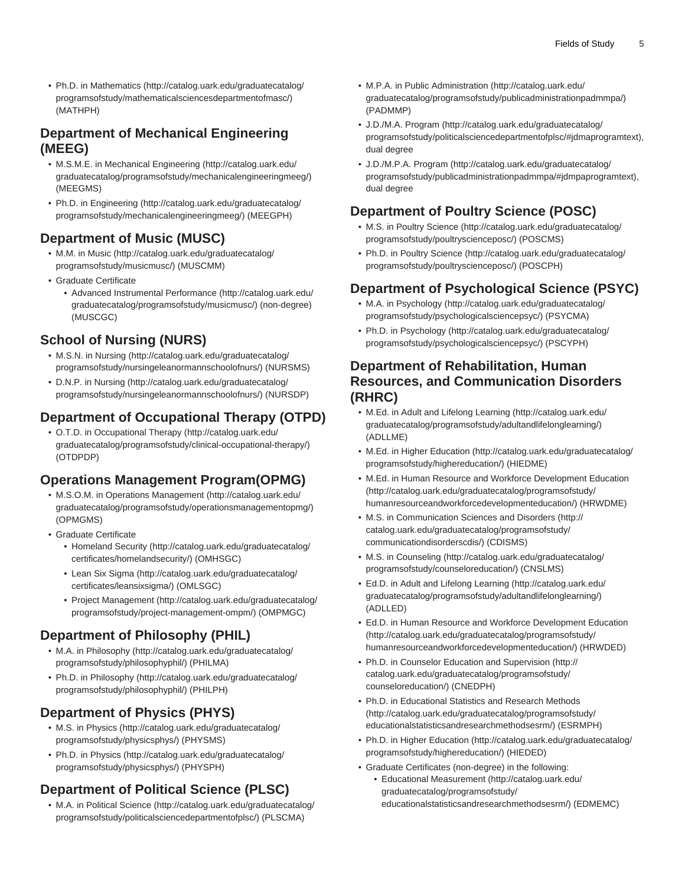• Ph.D. in [Mathematics](http://catalog.uark.edu/graduatecatalog/programsofstudy/mathematicalsciencesdepartmentofmasc/) ([http://catalog.uark.edu/graduatecatalog/](http://catalog.uark.edu/graduatecatalog/programsofstudy/mathematicalsciencesdepartmentofmasc/) [programsofstudy/mathematicalsciencesdepartmentofmasc/\)](http://catalog.uark.edu/graduatecatalog/programsofstudy/mathematicalsciencesdepartmentofmasc/) (MATHPH)

### **Department of Mechanical Engineering (MEEG)**

- M.S.M.E. in [Mechanical Engineering](http://catalog.uark.edu/graduatecatalog/programsofstudy/mechanicalengineeringmeeg/) ([http://catalog.uark.edu/](http://catalog.uark.edu/graduatecatalog/programsofstudy/mechanicalengineeringmeeg/) [graduatecatalog/programsofstudy/mechanicalengineeringmeeg/\)](http://catalog.uark.edu/graduatecatalog/programsofstudy/mechanicalengineeringmeeg/) (MEEGMS)
- Ph.D. in [Engineering](http://catalog.uark.edu/graduatecatalog/programsofstudy/mechanicalengineeringmeeg/) [\(http://catalog.uark.edu/graduatecatalog/](http://catalog.uark.edu/graduatecatalog/programsofstudy/mechanicalengineeringmeeg/) [programsofstudy/mechanicalengineeringmeeg/](http://catalog.uark.edu/graduatecatalog/programsofstudy/mechanicalengineeringmeeg/)) (MEEGPH)

### **Department of Music (MUSC)**

- M.M. in [Music](http://catalog.uark.edu/graduatecatalog/programsofstudy/musicmusc/) [\(http://catalog.uark.edu/graduatecatalog/](http://catalog.uark.edu/graduatecatalog/programsofstudy/musicmusc/) [programsofstudy/musicmusc/](http://catalog.uark.edu/graduatecatalog/programsofstudy/musicmusc/)) (MUSCMM)
- Graduate Certificate
	- [Advanced Instrumental Performance](http://catalog.uark.edu/graduatecatalog/programsofstudy/musicmusc/) ([http://catalog.uark.edu/](http://catalog.uark.edu/graduatecatalog/programsofstudy/musicmusc/) [graduatecatalog/programsofstudy/musicmusc/\)](http://catalog.uark.edu/graduatecatalog/programsofstudy/musicmusc/) (non-degree) (MUSCGC)

# **School of Nursing (NURS)**

- M.S.N. in [Nursing](http://catalog.uark.edu/graduatecatalog/programsofstudy/nursingeleanormannschoolofnurs/) ([http://catalog.uark.edu/graduatecatalog/](http://catalog.uark.edu/graduatecatalog/programsofstudy/nursingeleanormannschoolofnurs/) [programsofstudy/nursingeleanormannschoolofnurs/](http://catalog.uark.edu/graduatecatalog/programsofstudy/nursingeleanormannschoolofnurs/)) (NURSMS)
- D.N.P. in [Nursing](http://catalog.uark.edu/graduatecatalog/programsofstudy/nursingeleanormannschoolofnurs/) ([http://catalog.uark.edu/graduatecatalog/](http://catalog.uark.edu/graduatecatalog/programsofstudy/nursingeleanormannschoolofnurs/) [programsofstudy/nursingeleanormannschoolofnurs/](http://catalog.uark.edu/graduatecatalog/programsofstudy/nursingeleanormannschoolofnurs/)) (NURSDP)

# **Department of Occupational Therapy (OTPD)**

• O.T.D. in [Occupational Therapy](http://catalog.uark.edu/graduatecatalog/programsofstudy/clinical-occupational-therapy/) [\(http://catalog.uark.edu/](http://catalog.uark.edu/graduatecatalog/programsofstudy/clinical-occupational-therapy/) [graduatecatalog/programsofstudy/clinical-occupational-therapy/\)](http://catalog.uark.edu/graduatecatalog/programsofstudy/clinical-occupational-therapy/) (OTDPDP)

### **Operations Management Program(OPMG)**

- M.S.O.M. in [Operations Management](http://catalog.uark.edu/graduatecatalog/programsofstudy/operationsmanagementopmg/) [\(http://catalog.uark.edu/](http://catalog.uark.edu/graduatecatalog/programsofstudy/operationsmanagementopmg/) [graduatecatalog/programsofstudy/operationsmanagementopmg/\)](http://catalog.uark.edu/graduatecatalog/programsofstudy/operationsmanagementopmg/) (OPMGMS)
- Graduate Certificate
	- [Homeland Security \(http://catalog.uark.edu/graduatecatalog/](http://catalog.uark.edu/graduatecatalog/certificates/homelandsecurity/) [certificates/homelandsecurity/](http://catalog.uark.edu/graduatecatalog/certificates/homelandsecurity/)) (OMHSGC)
	- [Lean Six Sigma](http://catalog.uark.edu/graduatecatalog/certificates/leansixsigma/) ([http://catalog.uark.edu/graduatecatalog/](http://catalog.uark.edu/graduatecatalog/certificates/leansixsigma/) [certificates/leansixsigma/\)](http://catalog.uark.edu/graduatecatalog/certificates/leansixsigma/) (OMLSGC)
	- [Project Management](http://catalog.uark.edu/graduatecatalog/programsofstudy/project-management-ompm/) ([http://catalog.uark.edu/graduatecatalog/](http://catalog.uark.edu/graduatecatalog/programsofstudy/project-management-ompm/) [programsofstudy/project-management-ompm/](http://catalog.uark.edu/graduatecatalog/programsofstudy/project-management-ompm/)) (OMPMGC)

### **Department of Philosophy (PHIL)**

- M.A. in [Philosophy](http://catalog.uark.edu/graduatecatalog/programsofstudy/philosophyphil/) [\(http://catalog.uark.edu/graduatecatalog/](http://catalog.uark.edu/graduatecatalog/programsofstudy/philosophyphil/) [programsofstudy/philosophyphil/\)](http://catalog.uark.edu/graduatecatalog/programsofstudy/philosophyphil/) (PHILMA)
- Ph.D. in [Philosophy](http://catalog.uark.edu/graduatecatalog/programsofstudy/philosophyphil/) ([http://catalog.uark.edu/graduatecatalog/](http://catalog.uark.edu/graduatecatalog/programsofstudy/philosophyphil/) [programsofstudy/philosophyphil/\)](http://catalog.uark.edu/graduatecatalog/programsofstudy/philosophyphil/) (PHILPH)

# **Department of Physics (PHYS)**

- M.S. in [Physics](http://catalog.uark.edu/graduatecatalog/programsofstudy/physicsphys/) ([http://catalog.uark.edu/graduatecatalog/](http://catalog.uark.edu/graduatecatalog/programsofstudy/physicsphys/) [programsofstudy/physicsphys/\)](http://catalog.uark.edu/graduatecatalog/programsofstudy/physicsphys/) (PHYSMS)
- Ph.D. in [Physics](http://catalog.uark.edu/graduatecatalog/programsofstudy/physicsphys/) [\(http://catalog.uark.edu/graduatecatalog/](http://catalog.uark.edu/graduatecatalog/programsofstudy/physicsphys/) [programsofstudy/physicsphys/\)](http://catalog.uark.edu/graduatecatalog/programsofstudy/physicsphys/) (PHYSPH)

### **Department of Political Science (PLSC)**

• M.A. in [Political Science](http://catalog.uark.edu/graduatecatalog/programsofstudy/politicalsciencedepartmentofplsc/) [\(http://catalog.uark.edu/graduatecatalog/](http://catalog.uark.edu/graduatecatalog/programsofstudy/politicalsciencedepartmentofplsc/) [programsofstudy/politicalsciencedepartmentofplsc/](http://catalog.uark.edu/graduatecatalog/programsofstudy/politicalsciencedepartmentofplsc/)) (PLSCMA)

- M.P.A. in [Public Administration \(http://catalog.uark.edu/](http://catalog.uark.edu/graduatecatalog/programsofstudy/publicadministrationpadmmpa/) [graduatecatalog/programsofstudy/publicadministrationpadmmpa/](http://catalog.uark.edu/graduatecatalog/programsofstudy/publicadministrationpadmmpa/)) (PADMMP)
- [J.D./M.A. Program](http://catalog.uark.edu/graduatecatalog/programsofstudy/politicalsciencedepartmentofplsc/#jdmaprogramtext) ([http://catalog.uark.edu/graduatecatalog/](http://catalog.uark.edu/graduatecatalog/programsofstudy/politicalsciencedepartmentofplsc/#jdmaprogramtext) [programsofstudy/politicalsciencedepartmentofplsc/#jdmaprogramtext\)](http://catalog.uark.edu/graduatecatalog/programsofstudy/politicalsciencedepartmentofplsc/#jdmaprogramtext), dual degree
- [J.D./M.P.A. Program \(http://catalog.uark.edu/graduatecatalog/](http://catalog.uark.edu/graduatecatalog/programsofstudy/publicadministrationpadmmpa/#jdmpaprogramtext) [programsofstudy/publicadministrationpadmmpa/#jdmpaprogramtext](http://catalog.uark.edu/graduatecatalog/programsofstudy/publicadministrationpadmmpa/#jdmpaprogramtext)), dual degree

# **Department of Poultry Science (POSC)**

- M.S. in [Poultry Science](http://catalog.uark.edu/graduatecatalog/programsofstudy/poultryscienceposc/) ([http://catalog.uark.edu/graduatecatalog/](http://catalog.uark.edu/graduatecatalog/programsofstudy/poultryscienceposc/) [programsofstudy/poultryscienceposc/](http://catalog.uark.edu/graduatecatalog/programsofstudy/poultryscienceposc/)) (POSCMS)
- Ph.D. in [Poultry Science](http://catalog.uark.edu/graduatecatalog/programsofstudy/poultryscienceposc/) [\(http://catalog.uark.edu/graduatecatalog/](http://catalog.uark.edu/graduatecatalog/programsofstudy/poultryscienceposc/) [programsofstudy/poultryscienceposc/](http://catalog.uark.edu/graduatecatalog/programsofstudy/poultryscienceposc/)) (POSCPH)

# **Department of Psychological Science (PSYC)**

- M.A. in [Psychology](http://catalog.uark.edu/graduatecatalog/programsofstudy/psychologicalsciencepsyc/) [\(http://catalog.uark.edu/graduatecatalog/](http://catalog.uark.edu/graduatecatalog/programsofstudy/psychologicalsciencepsyc/) [programsofstudy/psychologicalsciencepsyc/\)](http://catalog.uark.edu/graduatecatalog/programsofstudy/psychologicalsciencepsyc/) (PSYCMA)
- Ph.D. in [Psychology](http://catalog.uark.edu/graduatecatalog/programsofstudy/psychologicalsciencepsyc/) ([http://catalog.uark.edu/graduatecatalog/](http://catalog.uark.edu/graduatecatalog/programsofstudy/psychologicalsciencepsyc/) [programsofstudy/psychologicalsciencepsyc/\)](http://catalog.uark.edu/graduatecatalog/programsofstudy/psychologicalsciencepsyc/) (PSCYPH)

### **Department of Rehabilitation, Human Resources, and Communication Disorders (RHRC)**

- M.Ed. in [Adult and Lifelong Learning](http://catalog.uark.edu/graduatecatalog/programsofstudy/adultandlifelonglearning/) [\(http://catalog.uark.edu/](http://catalog.uark.edu/graduatecatalog/programsofstudy/adultandlifelonglearning/) [graduatecatalog/programsofstudy/adultandlifelonglearning/](http://catalog.uark.edu/graduatecatalog/programsofstudy/adultandlifelonglearning/)) (ADLLME)
- M.Ed. in [Higher Education](http://catalog.uark.edu/graduatecatalog/programsofstudy/highereducation/) [\(http://catalog.uark.edu/graduatecatalog/](http://catalog.uark.edu/graduatecatalog/programsofstudy/highereducation/) [programsofstudy/highereducation/](http://catalog.uark.edu/graduatecatalog/programsofstudy/highereducation/)) (HIEDME)
- M.Ed. in [Human Resource and Workforce Development Education](http://catalog.uark.edu/graduatecatalog/programsofstudy/humanresourceandworkforcedevelopmenteducation/) ([http://catalog.uark.edu/graduatecatalog/programsofstudy/](http://catalog.uark.edu/graduatecatalog/programsofstudy/humanresourceandworkforcedevelopmenteducation/) [humanresourceandworkforcedevelopmenteducation/\)](http://catalog.uark.edu/graduatecatalog/programsofstudy/humanresourceandworkforcedevelopmenteducation/) (HRWDME)
- M.S. in [Communication Sciences and Disorders \(http://](http://catalog.uark.edu/graduatecatalog/programsofstudy/communicationdisorderscdis/) [catalog.uark.edu/graduatecatalog/programsofstudy/](http://catalog.uark.edu/graduatecatalog/programsofstudy/communicationdisorderscdis/) [communicationdisorderscdis/](http://catalog.uark.edu/graduatecatalog/programsofstudy/communicationdisorderscdis/)) (CDISMS)
- M.S. in [Counseling](http://catalog.uark.edu/graduatecatalog/programsofstudy/counseloreducation/) [\(http://catalog.uark.edu/graduatecatalog/](http://catalog.uark.edu/graduatecatalog/programsofstudy/counseloreducation/) [programsofstudy/counseloreducation/\)](http://catalog.uark.edu/graduatecatalog/programsofstudy/counseloreducation/) (CNSLMS)
- Ed.D. in [Adult and Lifelong Learning](http://catalog.uark.edu/graduatecatalog/programsofstudy/adultandlifelonglearning/) [\(http://catalog.uark.edu/](http://catalog.uark.edu/graduatecatalog/programsofstudy/adultandlifelonglearning/) [graduatecatalog/programsofstudy/adultandlifelonglearning/](http://catalog.uark.edu/graduatecatalog/programsofstudy/adultandlifelonglearning/)) (ADLLED)
- Ed.D. in [Human Resource and Workforce Development Education](http://catalog.uark.edu/graduatecatalog/programsofstudy/humanresourceandworkforcedevelopmenteducation/) ([http://catalog.uark.edu/graduatecatalog/programsofstudy/](http://catalog.uark.edu/graduatecatalog/programsofstudy/humanresourceandworkforcedevelopmenteducation/) [humanresourceandworkforcedevelopmenteducation/\)](http://catalog.uark.edu/graduatecatalog/programsofstudy/humanresourceandworkforcedevelopmenteducation/) (HRWDED)
- Ph.D. in [Counselor Education and Supervision](http://catalog.uark.edu/graduatecatalog/programsofstudy/counseloreducation/) ([http://](http://catalog.uark.edu/graduatecatalog/programsofstudy/counseloreducation/) [catalog.uark.edu/graduatecatalog/programsofstudy/](http://catalog.uark.edu/graduatecatalog/programsofstudy/counseloreducation/) [counseloreducation/\)](http://catalog.uark.edu/graduatecatalog/programsofstudy/counseloreducation/) (CNEDPH)
- Ph.D. in [Educational Statistics and Research Methods](http://catalog.uark.edu/graduatecatalog/programsofstudy/educationalstatisticsandresearchmethodsesrm/) ([http://catalog.uark.edu/graduatecatalog/programsofstudy/](http://catalog.uark.edu/graduatecatalog/programsofstudy/educationalstatisticsandresearchmethodsesrm/) [educationalstatisticsandresearchmethodsesrm/\)](http://catalog.uark.edu/graduatecatalog/programsofstudy/educationalstatisticsandresearchmethodsesrm/) (ESRMPH)
- Ph.D. in [Higher Education](http://catalog.uark.edu/graduatecatalog/programsofstudy/highereducation/) [\(http://catalog.uark.edu/graduatecatalog/](http://catalog.uark.edu/graduatecatalog/programsofstudy/highereducation/) [programsofstudy/highereducation/](http://catalog.uark.edu/graduatecatalog/programsofstudy/highereducation/)) (HIEDED)
- Graduate Certificates (non-degree) in the following:
	- [Educational Measurement](http://catalog.uark.edu/graduatecatalog/programsofstudy/educationalstatisticsandresearchmethodsesrm/) [\(http://catalog.uark.edu/](http://catalog.uark.edu/graduatecatalog/programsofstudy/educationalstatisticsandresearchmethodsesrm/) [graduatecatalog/programsofstudy/](http://catalog.uark.edu/graduatecatalog/programsofstudy/educationalstatisticsandresearchmethodsesrm/) [educationalstatisticsandresearchmethodsesrm/\)](http://catalog.uark.edu/graduatecatalog/programsofstudy/educationalstatisticsandresearchmethodsesrm/) (EDMEMC)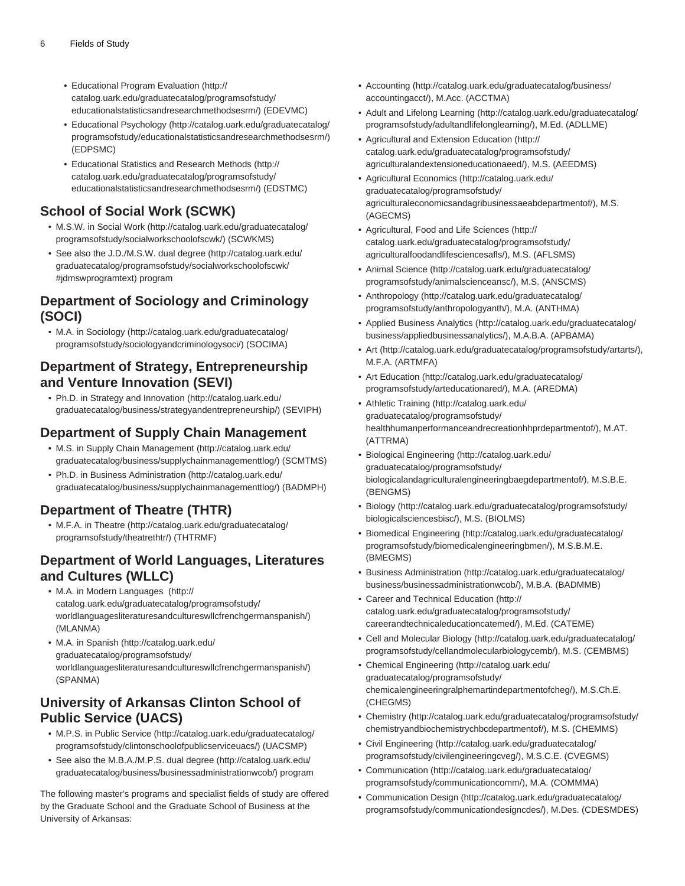- [Educational Program Evaluation](http://catalog.uark.edu/graduatecatalog/programsofstudy/educationalstatisticsandresearchmethodsesrm/) [\(http://](http://catalog.uark.edu/graduatecatalog/programsofstudy/educationalstatisticsandresearchmethodsesrm/) [catalog.uark.edu/graduatecatalog/programsofstudy/](http://catalog.uark.edu/graduatecatalog/programsofstudy/educationalstatisticsandresearchmethodsesrm/) [educationalstatisticsandresearchmethodsesrm/\)](http://catalog.uark.edu/graduatecatalog/programsofstudy/educationalstatisticsandresearchmethodsesrm/) (EDEVMC)
- [Educational Psychology](http://catalog.uark.edu/graduatecatalog/programsofstudy/educationalstatisticsandresearchmethodsesrm/) ([http://catalog.uark.edu/graduatecatalog/](http://catalog.uark.edu/graduatecatalog/programsofstudy/educationalstatisticsandresearchmethodsesrm/) [programsofstudy/educationalstatisticsandresearchmethodsesrm/\)](http://catalog.uark.edu/graduatecatalog/programsofstudy/educationalstatisticsandresearchmethodsesrm/) (EDPSMC)
- [Educational Statistics and Research Methods](http://catalog.uark.edu/graduatecatalog/programsofstudy/educationalstatisticsandresearchmethodsesrm/) ([http://](http://catalog.uark.edu/graduatecatalog/programsofstudy/educationalstatisticsandresearchmethodsesrm/) [catalog.uark.edu/graduatecatalog/programsofstudy/](http://catalog.uark.edu/graduatecatalog/programsofstudy/educationalstatisticsandresearchmethodsesrm/) [educationalstatisticsandresearchmethodsesrm/\)](http://catalog.uark.edu/graduatecatalog/programsofstudy/educationalstatisticsandresearchmethodsesrm/) (EDSTMC)

# **School of Social Work (SCWK)**

- M.S.W. in [Social Work \(http://catalog.uark.edu/graduatecatalog/](http://catalog.uark.edu/graduatecatalog/programsofstudy/socialworkschoolofscwk/) [programsofstudy/socialworkschoolofscwk/\)](http://catalog.uark.edu/graduatecatalog/programsofstudy/socialworkschoolofscwk/) (SCWKMS)
- See also the [J.D./M.S.W. dual degree](http://catalog.uark.edu/graduatecatalog/programsofstudy/socialworkschoolofscwk/#jdmswprogramtext) ([http://catalog.uark.edu/](http://catalog.uark.edu/graduatecatalog/programsofstudy/socialworkschoolofscwk/#jdmswprogramtext) [graduatecatalog/programsofstudy/socialworkschoolofscwk/](http://catalog.uark.edu/graduatecatalog/programsofstudy/socialworkschoolofscwk/#jdmswprogramtext) [#jdmswprogramtext\)](http://catalog.uark.edu/graduatecatalog/programsofstudy/socialworkschoolofscwk/#jdmswprogramtext) program

### **Department of Sociology and Criminology (SOCI)**

• M.A. in [Sociology](http://catalog.uark.edu/graduatecatalog/programsofstudy/sociologyandcriminologysoci/) ([http://catalog.uark.edu/graduatecatalog/](http://catalog.uark.edu/graduatecatalog/programsofstudy/sociologyandcriminologysoci/) [programsofstudy/sociologyandcriminologysoci/](http://catalog.uark.edu/graduatecatalog/programsofstudy/sociologyandcriminologysoci/)) (SOCIMA)

### **Department of Strategy, Entrepreneurship and Venture Innovation (SEVI)**

• Ph.D. in [Strategy and Innovation](http://catalog.uark.edu/graduatecatalog/business/strategyandentrepreneurship/) [\(http://catalog.uark.edu/](http://catalog.uark.edu/graduatecatalog/business/strategyandentrepreneurship/) [graduatecatalog/business/strategyandentrepreneurship/\)](http://catalog.uark.edu/graduatecatalog/business/strategyandentrepreneurship/) (SEVIPH)

### **Department of Supply Chain Management**

- M.S. in [Supply Chain Management \(http://catalog.uark.edu/](http://catalog.uark.edu/graduatecatalog/business/supplychainmanagementtlog/) [graduatecatalog/business/supplychainmanagementtlog/](http://catalog.uark.edu/graduatecatalog/business/supplychainmanagementtlog/)) (SCMTMS)
- Ph.D. in [Business Administration](http://catalog.uark.edu/graduatecatalog/business/supplychainmanagementtlog/) ([http://catalog.uark.edu/](http://catalog.uark.edu/graduatecatalog/business/supplychainmanagementtlog/) [graduatecatalog/business/supplychainmanagementtlog/](http://catalog.uark.edu/graduatecatalog/business/supplychainmanagementtlog/)) (BADMPH)

# **Department of Theatre (THTR)**

• M.F.A. in [Theatre](http://catalog.uark.edu/graduatecatalog/programsofstudy/theatrethtr/) ([http://catalog.uark.edu/graduatecatalog/](http://catalog.uark.edu/graduatecatalog/programsofstudy/theatrethtr/) [programsofstudy/theatrethtr/](http://catalog.uark.edu/graduatecatalog/programsofstudy/theatrethtr/)) (THTRMF)

### **Department of World Languages, Literatures and Cultures (WLLC)**

- M.A. in Moder[n Languages \(http://](http://catalog.uark.edu/graduatecatalog/programsofstudy/worldlanguagesliteraturesandcultureswllcfrenchgermanspanish/) [catalog.uark.edu/graduatecatalog/programsofstudy/](http://catalog.uark.edu/graduatecatalog/programsofstudy/worldlanguagesliteraturesandcultureswllcfrenchgermanspanish/) [worldlanguagesliteraturesandcultureswllcfrenchgermanspanish/\)](http://catalog.uark.edu/graduatecatalog/programsofstudy/worldlanguagesliteraturesandcultureswllcfrenchgermanspanish/) (MLANMA)
- M.A. in [Spanish](http://catalog.uark.edu/graduatecatalog/programsofstudy/worldlanguagesliteraturesandcultureswllcfrenchgermanspanish/) ([http://catalog.uark.edu/](http://catalog.uark.edu/graduatecatalog/programsofstudy/worldlanguagesliteraturesandcultureswllcfrenchgermanspanish/) [graduatecatalog/programsofstudy/](http://catalog.uark.edu/graduatecatalog/programsofstudy/worldlanguagesliteraturesandcultureswllcfrenchgermanspanish/) [worldlanguagesliteraturesandcultureswllcfrenchgermanspanish/\)](http://catalog.uark.edu/graduatecatalog/programsofstudy/worldlanguagesliteraturesandcultureswllcfrenchgermanspanish/) (SPANMA)

### **University of Arkansas Clinton School of Public Service (UACS)**

- M.P.S. in [Public Service](http://catalog.uark.edu/graduatecatalog/programsofstudy/clintonschoolofpublicserviceuacs/) [\(http://catalog.uark.edu/graduatecatalog/](http://catalog.uark.edu/graduatecatalog/programsofstudy/clintonschoolofpublicserviceuacs/) [programsofstudy/clintonschoolofpublicserviceuacs/](http://catalog.uark.edu/graduatecatalog/programsofstudy/clintonschoolofpublicserviceuacs/)) (UACSMP)
- See also the [M.B.A./M.P.S. dual degree](http://catalog.uark.edu/graduatecatalog/business/businessadministrationwcob/) [\(http://catalog.uark.edu/](http://catalog.uark.edu/graduatecatalog/business/businessadministrationwcob/) [graduatecatalog/business/businessadministrationwcob/\)](http://catalog.uark.edu/graduatecatalog/business/businessadministrationwcob/) program

The following master's programs and specialist fields of study are offered by the Graduate School and the Graduate School of Business at the University of Arkansas:

- [Accounting](http://catalog.uark.edu/graduatecatalog/business/accountingacct/) ([http://catalog.uark.edu/graduatecatalog/business/](http://catalog.uark.edu/graduatecatalog/business/accountingacct/) [accountingacct/\)](http://catalog.uark.edu/graduatecatalog/business/accountingacct/), M.Acc. (ACCTMA)
- [Adult and Lifelong Learning \(http://catalog.uark.edu/graduatecatalog/](http://catalog.uark.edu/graduatecatalog/programsofstudy/adultandlifelonglearning/) [programsofstudy/adultandlifelonglearning/\)](http://catalog.uark.edu/graduatecatalog/programsofstudy/adultandlifelonglearning/), M.Ed. (ADLLME)
- [Agricultural and Extension Education](http://catalog.uark.edu/graduatecatalog/programsofstudy/agriculturalandextensioneducationaeed/) ([http://](http://catalog.uark.edu/graduatecatalog/programsofstudy/agriculturalandextensioneducationaeed/) [catalog.uark.edu/graduatecatalog/programsofstudy/](http://catalog.uark.edu/graduatecatalog/programsofstudy/agriculturalandextensioneducationaeed/) [agriculturalandextensioneducationaeed/\)](http://catalog.uark.edu/graduatecatalog/programsofstudy/agriculturalandextensioneducationaeed/), M.S. (AEEDMS)
- [Agricultural Economics \(http://catalog.uark.edu/](http://catalog.uark.edu/graduatecatalog/programsofstudy/agriculturaleconomicsandagribusinessaeabdepartmentof/) [graduatecatalog/programsofstudy/](http://catalog.uark.edu/graduatecatalog/programsofstudy/agriculturaleconomicsandagribusinessaeabdepartmentof/) [agriculturaleconomicsandagribusinessaeabdepartmentof/\)](http://catalog.uark.edu/graduatecatalog/programsofstudy/agriculturaleconomicsandagribusinessaeabdepartmentof/), M.S. (AGECMS)
- [Agricultural, Food and Life Sciences](http://catalog.uark.edu/graduatecatalog/programsofstudy/agriculturalfoodandlifesciencesafls/) [\(http://](http://catalog.uark.edu/graduatecatalog/programsofstudy/agriculturalfoodandlifesciencesafls/) [catalog.uark.edu/graduatecatalog/programsofstudy/](http://catalog.uark.edu/graduatecatalog/programsofstudy/agriculturalfoodandlifesciencesafls/) [agriculturalfoodandlifesciencesafls/](http://catalog.uark.edu/graduatecatalog/programsofstudy/agriculturalfoodandlifesciencesafls/)), M.S. (AFLSMS)
- [Animal Science](http://catalog.uark.edu/graduatecatalog/programsofstudy/animalscienceansc/) [\(http://catalog.uark.edu/graduatecatalog/](http://catalog.uark.edu/graduatecatalog/programsofstudy/animalscienceansc/) [programsofstudy/animalscienceansc/\)](http://catalog.uark.edu/graduatecatalog/programsofstudy/animalscienceansc/), M.S. (ANSCMS)
- [Anthropology](http://catalog.uark.edu/graduatecatalog/programsofstudy/anthropologyanth/) [\(http://catalog.uark.edu/graduatecatalog/](http://catalog.uark.edu/graduatecatalog/programsofstudy/anthropologyanth/) [programsofstudy/anthropologyanth/](http://catalog.uark.edu/graduatecatalog/programsofstudy/anthropologyanth/)), M.A. (ANTHMA)
- [Applied Business Analytics](http://catalog.uark.edu/graduatecatalog/business/appliedbusinessanalytics/) ([http://catalog.uark.edu/graduatecatalog/](http://catalog.uark.edu/graduatecatalog/business/appliedbusinessanalytics/) [business/appliedbusinessanalytics/\)](http://catalog.uark.edu/graduatecatalog/business/appliedbusinessanalytics/), M.A.B.A. (APBAMA)
- [Art](http://catalog.uark.edu/graduatecatalog/programsofstudy/artarts/) [\(http://catalog.uark.edu/graduatecatalog/programsofstudy/artarts/\)](http://catalog.uark.edu/graduatecatalog/programsofstudy/artarts/), M.F.A. (ARTMFA)
- [Art Education](http://catalog.uark.edu/graduatecatalog/programsofstudy/arteducationared/) [\(http://catalog.uark.edu/graduatecatalog/](http://catalog.uark.edu/graduatecatalog/programsofstudy/arteducationared/) [programsofstudy/arteducationared/](http://catalog.uark.edu/graduatecatalog/programsofstudy/arteducationared/)), M.A. (AREDMA)
- [Athletic Training \(http://catalog.uark.edu/](http://catalog.uark.edu/graduatecatalog/programsofstudy/healthhumanperformanceandrecreationhhprdepartmentof/) [graduatecatalog/programsofstudy/](http://catalog.uark.edu/graduatecatalog/programsofstudy/healthhumanperformanceandrecreationhhprdepartmentof/) [healthhumanperformanceandrecreationhhprdepartmentof/\)](http://catalog.uark.edu/graduatecatalog/programsofstudy/healthhumanperformanceandrecreationhhprdepartmentof/), M.AT. (ATTRMA)
- [Biological Engineering](http://catalog.uark.edu/graduatecatalog/programsofstudy/biologicalandagriculturalengineeringbaegdepartmentof/) [\(http://catalog.uark.edu/](http://catalog.uark.edu/graduatecatalog/programsofstudy/biologicalandagriculturalengineeringbaegdepartmentof/) [graduatecatalog/programsofstudy/](http://catalog.uark.edu/graduatecatalog/programsofstudy/biologicalandagriculturalengineeringbaegdepartmentof/) [biologicalandagriculturalengineeringbaegdepartmentof/\)](http://catalog.uark.edu/graduatecatalog/programsofstudy/biologicalandagriculturalengineeringbaegdepartmentof/), M.S.B.E. (BENGMS)
- [Biology](http://catalog.uark.edu/graduatecatalog/programsofstudy/biologicalsciencesbisc/) [\(http://catalog.uark.edu/graduatecatalog/programsofstudy/](http://catalog.uark.edu/graduatecatalog/programsofstudy/biologicalsciencesbisc/) [biologicalsciencesbisc/](http://catalog.uark.edu/graduatecatalog/programsofstudy/biologicalsciencesbisc/)), M.S. (BIOLMS)
- [Biomedical Engineering](http://catalog.uark.edu/graduatecatalog/programsofstudy/biomedicalengineeringbmen/) [\(http://catalog.uark.edu/graduatecatalog/](http://catalog.uark.edu/graduatecatalog/programsofstudy/biomedicalengineeringbmen/) [programsofstudy/biomedicalengineeringbmen/](http://catalog.uark.edu/graduatecatalog/programsofstudy/biomedicalengineeringbmen/)), M.S.B.M.E. (BMEGMS)
- [Business Administration \(http://catalog.uark.edu/graduatecatalog/](http://catalog.uark.edu/graduatecatalog/business/businessadministrationwcob/) [business/businessadministrationwcob/](http://catalog.uark.edu/graduatecatalog/business/businessadministrationwcob/)), M.B.A. (BADMMB)
- [Career and Technical Education](http://catalog.uark.edu/graduatecatalog/programsofstudy/careerandtechnicaleducationcatemed/) [\(http://](http://catalog.uark.edu/graduatecatalog/programsofstudy/careerandtechnicaleducationcatemed/) [catalog.uark.edu/graduatecatalog/programsofstudy/](http://catalog.uark.edu/graduatecatalog/programsofstudy/careerandtechnicaleducationcatemed/) [careerandtechnicaleducationcatemed/](http://catalog.uark.edu/graduatecatalog/programsofstudy/careerandtechnicaleducationcatemed/)), M.Ed. (CATEME)
- [Cell and Molecular Biology](http://catalog.uark.edu/graduatecatalog/programsofstudy/cellandmolecularbiologycemb/) ([http://catalog.uark.edu/graduatecatalog/](http://catalog.uark.edu/graduatecatalog/programsofstudy/cellandmolecularbiologycemb/) [programsofstudy/cellandmolecularbiologycemb/](http://catalog.uark.edu/graduatecatalog/programsofstudy/cellandmolecularbiologycemb/)), M.S. (CEMBMS)
- [Chemical Engineering](http://catalog.uark.edu/graduatecatalog/programsofstudy/chemicalengineeringralphemartindepartmentofcheg/) [\(http://catalog.uark.edu/](http://catalog.uark.edu/graduatecatalog/programsofstudy/chemicalengineeringralphemartindepartmentofcheg/) [graduatecatalog/programsofstudy/](http://catalog.uark.edu/graduatecatalog/programsofstudy/chemicalengineeringralphemartindepartmentofcheg/) [chemicalengineeringralphemartindepartmentofcheg/\)](http://catalog.uark.edu/graduatecatalog/programsofstudy/chemicalengineeringralphemartindepartmentofcheg/), M.S.Ch.E. (CHEGMS)
- [Chemistry](http://catalog.uark.edu/graduatecatalog/programsofstudy/chemistryandbiochemistrychbcdepartmentof/) [\(http://catalog.uark.edu/graduatecatalog/programsofstudy/](http://catalog.uark.edu/graduatecatalog/programsofstudy/chemistryandbiochemistrychbcdepartmentof/) [chemistryandbiochemistrychbcdepartmentof/\)](http://catalog.uark.edu/graduatecatalog/programsofstudy/chemistryandbiochemistrychbcdepartmentof/), M.S. (CHEMMS)
- [Civil Engineering](http://catalog.uark.edu/graduatecatalog/programsofstudy/civilengineeringcveg/) [\(http://catalog.uark.edu/graduatecatalog/](http://catalog.uark.edu/graduatecatalog/programsofstudy/civilengineeringcveg/) [programsofstudy/civilengineeringcveg/](http://catalog.uark.edu/graduatecatalog/programsofstudy/civilengineeringcveg/)), M.S.C.E. (CVEGMS)
- [Communication](http://catalog.uark.edu/graduatecatalog/programsofstudy/communicationcomm/) ([http://catalog.uark.edu/graduatecatalog/](http://catalog.uark.edu/graduatecatalog/programsofstudy/communicationcomm/) [programsofstudy/communicationcomm/\)](http://catalog.uark.edu/graduatecatalog/programsofstudy/communicationcomm/), M.A. (COMMMA)
- [Communication Design](http://catalog.uark.edu/graduatecatalog/programsofstudy/communicationdesigncdes/) ([http://catalog.uark.edu/graduatecatalog/](http://catalog.uark.edu/graduatecatalog/programsofstudy/communicationdesigncdes/) [programsofstudy/communicationdesigncdes/](http://catalog.uark.edu/graduatecatalog/programsofstudy/communicationdesigncdes/)), M.Des. (CDESMDES)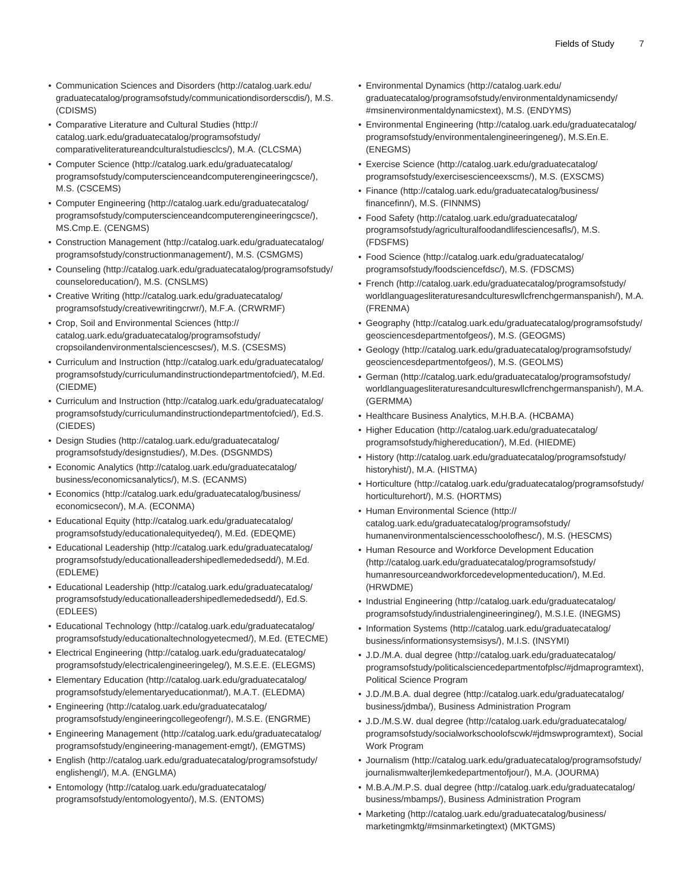- [Communication Sciences and Disorders](http://catalog.uark.edu/graduatecatalog/programsofstudy/communicationdisorderscdis/) [\(http://catalog.uark.edu/](http://catalog.uark.edu/graduatecatalog/programsofstudy/communicationdisorderscdis/) [graduatecatalog/programsofstudy/communicationdisorderscdis/\)](http://catalog.uark.edu/graduatecatalog/programsofstudy/communicationdisorderscdis/), M.S. (CDISMS)
- [Comparative Literature and Cultural Studies](http://catalog.uark.edu/graduatecatalog/programsofstudy/comparativeliteratureandculturalstudiesclcs/) ([http://](http://catalog.uark.edu/graduatecatalog/programsofstudy/comparativeliteratureandculturalstudiesclcs/) [catalog.uark.edu/graduatecatalog/programsofstudy/](http://catalog.uark.edu/graduatecatalog/programsofstudy/comparativeliteratureandculturalstudiesclcs/) [comparativeliteratureandculturalstudiesclcs/](http://catalog.uark.edu/graduatecatalog/programsofstudy/comparativeliteratureandculturalstudiesclcs/)), M.A. (CLCSMA)
- [Computer Science](http://catalog.uark.edu/graduatecatalog/programsofstudy/computerscienceandcomputerengineeringcsce/) ([http://catalog.uark.edu/graduatecatalog/](http://catalog.uark.edu/graduatecatalog/programsofstudy/computerscienceandcomputerengineeringcsce/) [programsofstudy/computerscienceandcomputerengineeringcsce/](http://catalog.uark.edu/graduatecatalog/programsofstudy/computerscienceandcomputerengineeringcsce/)), M.S. (CSCEMS)
- [Computer Engineering](http://catalog.uark.edu/graduatecatalog/programsofstudy/computerscienceandcomputerengineeringcsce/) ([http://catalog.uark.edu/graduatecatalog/](http://catalog.uark.edu/graduatecatalog/programsofstudy/computerscienceandcomputerengineeringcsce/) [programsofstudy/computerscienceandcomputerengineeringcsce/](http://catalog.uark.edu/graduatecatalog/programsofstudy/computerscienceandcomputerengineeringcsce/)), MS.Cmp.E. (CENGMS)
- [Construction Management](http://catalog.uark.edu/graduatecatalog/programsofstudy/constructionmanagement/) ([http://catalog.uark.edu/graduatecatalog/](http://catalog.uark.edu/graduatecatalog/programsofstudy/constructionmanagement/) [programsofstudy/constructionmanagement/\)](http://catalog.uark.edu/graduatecatalog/programsofstudy/constructionmanagement/), M.S. (CSMGMS)
- [Counseling](http://catalog.uark.edu/graduatecatalog/programsofstudy/counseloreducation/) ([http://catalog.uark.edu/graduatecatalog/programsofstudy/](http://catalog.uark.edu/graduatecatalog/programsofstudy/counseloreducation/) [counseloreducation/\)](http://catalog.uark.edu/graduatecatalog/programsofstudy/counseloreducation/), M.S. (CNSLMS)
- [Creative Writing](http://catalog.uark.edu/graduatecatalog/programsofstudy/creativewritingcrwr/) ([http://catalog.uark.edu/graduatecatalog/](http://catalog.uark.edu/graduatecatalog/programsofstudy/creativewritingcrwr/) [programsofstudy/creativewritingcrwr/](http://catalog.uark.edu/graduatecatalog/programsofstudy/creativewritingcrwr/)), M.F.A. (CRWRMF)
- [Crop, Soil and Environmental Sciences](http://catalog.uark.edu/graduatecatalog/programsofstudy/cropsoilandenvironmentalsciencescses/) ([http://](http://catalog.uark.edu/graduatecatalog/programsofstudy/cropsoilandenvironmentalsciencescses/) [catalog.uark.edu/graduatecatalog/programsofstudy/](http://catalog.uark.edu/graduatecatalog/programsofstudy/cropsoilandenvironmentalsciencescses/) [cropsoilandenvironmentalsciencescses/\)](http://catalog.uark.edu/graduatecatalog/programsofstudy/cropsoilandenvironmentalsciencescses/), M.S. (CSESMS)
- [Curriculum and Instruction](http://catalog.uark.edu/graduatecatalog/programsofstudy/curriculumandinstructiondepartmentofcied/) [\(http://catalog.uark.edu/graduatecatalog/](http://catalog.uark.edu/graduatecatalog/programsofstudy/curriculumandinstructiondepartmentofcied/) [programsofstudy/curriculumandinstructiondepartmentofcied/\)](http://catalog.uark.edu/graduatecatalog/programsofstudy/curriculumandinstructiondepartmentofcied/), M.Ed. (CIEDME)
- [Curriculum and Instruction](http://catalog.uark.edu/graduatecatalog/programsofstudy/curriculumandinstructiondepartmentofcied/) [\(http://catalog.uark.edu/graduatecatalog/](http://catalog.uark.edu/graduatecatalog/programsofstudy/curriculumandinstructiondepartmentofcied/) [programsofstudy/curriculumandinstructiondepartmentofcied/\)](http://catalog.uark.edu/graduatecatalog/programsofstudy/curriculumandinstructiondepartmentofcied/), Ed.S. (CIEDES)
- [Design Studies](http://catalog.uark.edu/graduatecatalog/programsofstudy/designstudies/) ([http://catalog.uark.edu/graduatecatalog/](http://catalog.uark.edu/graduatecatalog/programsofstudy/designstudies/) [programsofstudy/designstudies/\)](http://catalog.uark.edu/graduatecatalog/programsofstudy/designstudies/), M.Des. (DSGNMDS)
- [Economic Analytics](http://catalog.uark.edu/graduatecatalog/business/economicsanalytics/) [\(http://catalog.uark.edu/graduatecatalog/](http://catalog.uark.edu/graduatecatalog/business/economicsanalytics/) [business/economicsanalytics/](http://catalog.uark.edu/graduatecatalog/business/economicsanalytics/)), M.S. (ECANMS)
- [Economics](http://catalog.uark.edu/graduatecatalog/business/economicsecon/) [\(http://catalog.uark.edu/graduatecatalog/business/](http://catalog.uark.edu/graduatecatalog/business/economicsecon/) [economicsecon/\)](http://catalog.uark.edu/graduatecatalog/business/economicsecon/), M.A. (ECONMA)
- [Educational Equity](http://catalog.uark.edu/graduatecatalog/programsofstudy/educationalequityedeq/) [\(http://catalog.uark.edu/graduatecatalog/](http://catalog.uark.edu/graduatecatalog/programsofstudy/educationalequityedeq/) [programsofstudy/educationalequityedeq/](http://catalog.uark.edu/graduatecatalog/programsofstudy/educationalequityedeq/)), M.Ed. (EDEQME)
- [Educational Leadership \(http://catalog.uark.edu/graduatecatalog/](http://catalog.uark.edu/graduatecatalog/programsofstudy/educationalleadershipedlemededsedd/) [programsofstudy/educationalleadershipedlemededsedd/\)](http://catalog.uark.edu/graduatecatalog/programsofstudy/educationalleadershipedlemededsedd/), M.Ed. (EDLEME)
- [Educational Leadership \(http://catalog.uark.edu/graduatecatalog/](http://catalog.uark.edu/graduatecatalog/programsofstudy/educationalleadershipedlemededsedd/) [programsofstudy/educationalleadershipedlemededsedd/\)](http://catalog.uark.edu/graduatecatalog/programsofstudy/educationalleadershipedlemededsedd/), Ed.S. (EDLEES)
- [Educational Technology](http://catalog.uark.edu/graduatecatalog/programsofstudy/educationaltechnologyetecmed/) [\(http://catalog.uark.edu/graduatecatalog/](http://catalog.uark.edu/graduatecatalog/programsofstudy/educationaltechnologyetecmed/) [programsofstudy/educationaltechnologyetecmed/](http://catalog.uark.edu/graduatecatalog/programsofstudy/educationaltechnologyetecmed/)), M.Ed. (ETECME)
- [Electrical Engineering](http://catalog.uark.edu/graduatecatalog/programsofstudy/electricalengineeringeleg/) [\(http://catalog.uark.edu/graduatecatalog/](http://catalog.uark.edu/graduatecatalog/programsofstudy/electricalengineeringeleg/) [programsofstudy/electricalengineeringeleg/\)](http://catalog.uark.edu/graduatecatalog/programsofstudy/electricalengineeringeleg/), M.S.E.E. (ELEGMS)
- [Elementary Education](http://catalog.uark.edu/graduatecatalog/programsofstudy/elementaryeducationmat/) [\(http://catalog.uark.edu/graduatecatalog/](http://catalog.uark.edu/graduatecatalog/programsofstudy/elementaryeducationmat/) [programsofstudy/elementaryeducationmat/\)](http://catalog.uark.edu/graduatecatalog/programsofstudy/elementaryeducationmat/), M.A.T. (ELEDMA)
- [Engineering](http://catalog.uark.edu/graduatecatalog/programsofstudy/engineeringcollegeofengr/) ([http://catalog.uark.edu/graduatecatalog/](http://catalog.uark.edu/graduatecatalog/programsofstudy/engineeringcollegeofengr/) [programsofstudy/engineeringcollegeofengr/\)](http://catalog.uark.edu/graduatecatalog/programsofstudy/engineeringcollegeofengr/), M.S.E. (ENGRME)
- [Engineering Management \(http://catalog.uark.edu/graduatecatalog/](http://catalog.uark.edu/graduatecatalog/programsofstudy/engineering-management-emgt/) [programsofstudy/engineering-management-emgt/\)](http://catalog.uark.edu/graduatecatalog/programsofstudy/engineering-management-emgt/), (EMGTMS)
- [English](http://catalog.uark.edu/graduatecatalog/programsofstudy/englishengl/) [\(http://catalog.uark.edu/graduatecatalog/programsofstudy/](http://catalog.uark.edu/graduatecatalog/programsofstudy/englishengl/) [englishengl/\)](http://catalog.uark.edu/graduatecatalog/programsofstudy/englishengl/), M.A. (ENGLMA)
- [Entomology](http://catalog.uark.edu/graduatecatalog/programsofstudy/entomologyento/) [\(http://catalog.uark.edu/graduatecatalog/](http://catalog.uark.edu/graduatecatalog/programsofstudy/entomologyento/) [programsofstudy/entomologyento/\)](http://catalog.uark.edu/graduatecatalog/programsofstudy/entomologyento/), M.S. (ENTOMS)
- [Environmental Dynamics](http://catalog.uark.edu/graduatecatalog/programsofstudy/environmentaldynamicsendy/#msinenvironmentaldynamicstext) ([http://catalog.uark.edu/](http://catalog.uark.edu/graduatecatalog/programsofstudy/environmentaldynamicsendy/#msinenvironmentaldynamicstext) [graduatecatalog/programsofstudy/environmentaldynamicsendy/](http://catalog.uark.edu/graduatecatalog/programsofstudy/environmentaldynamicsendy/#msinenvironmentaldynamicstext) [#msinenvironmentaldynamicstext](http://catalog.uark.edu/graduatecatalog/programsofstudy/environmentaldynamicsendy/#msinenvironmentaldynamicstext)), M.S. (ENDYMS)
- [Environmental Engineering](http://catalog.uark.edu/graduatecatalog/programsofstudy/environmentalengineeringeneg/) [\(http://catalog.uark.edu/graduatecatalog/](http://catalog.uark.edu/graduatecatalog/programsofstudy/environmentalengineeringeneg/) [programsofstudy/environmentalengineeringeneg/](http://catalog.uark.edu/graduatecatalog/programsofstudy/environmentalengineeringeneg/)), M.S.En.E. (ENEGMS)
- [Exercise Science \(http://catalog.uark.edu/graduatecatalog/](http://catalog.uark.edu/graduatecatalog/programsofstudy/exercisescienceexscms/) [programsofstudy/exercisescienceexscms/](http://catalog.uark.edu/graduatecatalog/programsofstudy/exercisescienceexscms/)), M.S. (EXSCMS)
- [Finance](http://catalog.uark.edu/graduatecatalog/business/financefinn/) ([http://catalog.uark.edu/graduatecatalog/business/](http://catalog.uark.edu/graduatecatalog/business/financefinn/) [financefinn/](http://catalog.uark.edu/graduatecatalog/business/financefinn/)), M.S. (FINNMS)
- [Food Safety](http://catalog.uark.edu/graduatecatalog/programsofstudy/agriculturalfoodandlifesciencesafls/) [\(http://catalog.uark.edu/graduatecatalog/](http://catalog.uark.edu/graduatecatalog/programsofstudy/agriculturalfoodandlifesciencesafls/) [programsofstudy/agriculturalfoodandlifesciencesafls/](http://catalog.uark.edu/graduatecatalog/programsofstudy/agriculturalfoodandlifesciencesafls/)), M.S. (FDSFMS)
- [Food Science](http://catalog.uark.edu/graduatecatalog/programsofstudy/foodsciencefdsc/) ([http://catalog.uark.edu/graduatecatalog/](http://catalog.uark.edu/graduatecatalog/programsofstudy/foodsciencefdsc/) [programsofstudy/foodsciencefdsc/\)](http://catalog.uark.edu/graduatecatalog/programsofstudy/foodsciencefdsc/), M.S. (FDSCMS)
- [French](http://catalog.uark.edu/graduatecatalog/programsofstudy/worldlanguagesliteraturesandcultureswllcfrenchgermanspanish/) ([http://catalog.uark.edu/graduatecatalog/programsofstudy/](http://catalog.uark.edu/graduatecatalog/programsofstudy/worldlanguagesliteraturesandcultureswllcfrenchgermanspanish/) [worldlanguagesliteraturesandcultureswllcfrenchgermanspanish/](http://catalog.uark.edu/graduatecatalog/programsofstudy/worldlanguagesliteraturesandcultureswllcfrenchgermanspanish/)), M.A. (FRENMA)
- [Geography](http://catalog.uark.edu/graduatecatalog/programsofstudy/geosciencesdepartmentofgeos/) ([http://catalog.uark.edu/graduatecatalog/programsofstudy/](http://catalog.uark.edu/graduatecatalog/programsofstudy/geosciencesdepartmentofgeos/) [geosciencesdepartmentofgeos/](http://catalog.uark.edu/graduatecatalog/programsofstudy/geosciencesdepartmentofgeos/)), M.S. (GEOGMS)
- [Geology](http://catalog.uark.edu/graduatecatalog/programsofstudy/geosciencesdepartmentofgeos/) ([http://catalog.uark.edu/graduatecatalog/programsofstudy/](http://catalog.uark.edu/graduatecatalog/programsofstudy/geosciencesdepartmentofgeos/) [geosciencesdepartmentofgeos/](http://catalog.uark.edu/graduatecatalog/programsofstudy/geosciencesdepartmentofgeos/)), M.S. (GEOLMS)
- [German](http://catalog.uark.edu/graduatecatalog/programsofstudy/worldlanguagesliteraturesandcultureswllcfrenchgermanspanish/) ([http://catalog.uark.edu/graduatecatalog/programsofstudy/](http://catalog.uark.edu/graduatecatalog/programsofstudy/worldlanguagesliteraturesandcultureswllcfrenchgermanspanish/) [worldlanguagesliteraturesandcultureswllcfrenchgermanspanish/](http://catalog.uark.edu/graduatecatalog/programsofstudy/worldlanguagesliteraturesandcultureswllcfrenchgermanspanish/)), M.A. (GERMMA)
- Healthcare Business Analytics, M.H.B.A. (HCBAMA)
- [Higher Education \(http://catalog.uark.edu/graduatecatalog/](http://catalog.uark.edu/graduatecatalog/programsofstudy/highereducation/) [programsofstudy/highereducation/](http://catalog.uark.edu/graduatecatalog/programsofstudy/highereducation/)), M.Ed. (HIEDME)
- [History](http://catalog.uark.edu/graduatecatalog/programsofstudy/historyhist/) ([http://catalog.uark.edu/graduatecatalog/programsofstudy/](http://catalog.uark.edu/graduatecatalog/programsofstudy/historyhist/) [historyhist/](http://catalog.uark.edu/graduatecatalog/programsofstudy/historyhist/)), M.A. (HISTMA)
- [Horticulture](http://catalog.uark.edu/graduatecatalog/programsofstudy/horticulturehort/) ([http://catalog.uark.edu/graduatecatalog/programsofstudy/](http://catalog.uark.edu/graduatecatalog/programsofstudy/horticulturehort/) [horticulturehort/\)](http://catalog.uark.edu/graduatecatalog/programsofstudy/horticulturehort/), M.S. (HORTMS)
- [Human Environmental Science](http://catalog.uark.edu/graduatecatalog/programsofstudy/humanenvironmentalsciencesschoolofhesc/) ([http://](http://catalog.uark.edu/graduatecatalog/programsofstudy/humanenvironmentalsciencesschoolofhesc/) [catalog.uark.edu/graduatecatalog/programsofstudy/](http://catalog.uark.edu/graduatecatalog/programsofstudy/humanenvironmentalsciencesschoolofhesc/) [humanenvironmentalsciencesschoolofhesc/\)](http://catalog.uark.edu/graduatecatalog/programsofstudy/humanenvironmentalsciencesschoolofhesc/), M.S. (HESCMS)
- [Human Resource and Workforce Development Education](http://catalog.uark.edu/graduatecatalog/programsofstudy/humanresourceandworkforcedevelopmenteducation/) ([http://catalog.uark.edu/graduatecatalog/programsofstudy/](http://catalog.uark.edu/graduatecatalog/programsofstudy/humanresourceandworkforcedevelopmenteducation/) [humanresourceandworkforcedevelopmenteducation/\)](http://catalog.uark.edu/graduatecatalog/programsofstudy/humanresourceandworkforcedevelopmenteducation/), M.Ed. (HRWDME)
- [Industrial Engineering \(http://catalog.uark.edu/graduatecatalog/](http://catalog.uark.edu/graduatecatalog/programsofstudy/industrialengineeringineg/) [programsofstudy/industrialengineeringineg/](http://catalog.uark.edu/graduatecatalog/programsofstudy/industrialengineeringineg/)), M.S.I.E. (INEGMS)
- [Information Systems](http://catalog.uark.edu/graduatecatalog/business/informationsystemsisys/) ([http://catalog.uark.edu/graduatecatalog/](http://catalog.uark.edu/graduatecatalog/business/informationsystemsisys/) [business/informationsystemsisys/\)](http://catalog.uark.edu/graduatecatalog/business/informationsystemsisys/), M.I.S. (INSYMI)
- [J.D./M.A. dual degree \(http://catalog.uark.edu/graduatecatalog/](http://catalog.uark.edu/graduatecatalog/programsofstudy/politicalsciencedepartmentofplsc/#jdmaprogramtext) [programsofstudy/politicalsciencedepartmentofplsc/#jdmaprogramtext\)](http://catalog.uark.edu/graduatecatalog/programsofstudy/politicalsciencedepartmentofplsc/#jdmaprogramtext), Political Science Program
- [J.D./M.B.A. dual degree](http://catalog.uark.edu/graduatecatalog/business/jdmba/) [\(http://catalog.uark.edu/graduatecatalog/](http://catalog.uark.edu/graduatecatalog/business/jdmba/) [business/jdmba/](http://catalog.uark.edu/graduatecatalog/business/jdmba/)), Business Administration Program
- [J.D./M.S.W. dual degree](http://catalog.uark.edu/graduatecatalog/programsofstudy/socialworkschoolofscwk/#jdmswprogramtext) [\(http://catalog.uark.edu/graduatecatalog/](http://catalog.uark.edu/graduatecatalog/programsofstudy/socialworkschoolofscwk/#jdmswprogramtext) [programsofstudy/socialworkschoolofscwk/#jdmswprogramtext\)](http://catalog.uark.edu/graduatecatalog/programsofstudy/socialworkschoolofscwk/#jdmswprogramtext), Social Work Program
- [Journalism](http://catalog.uark.edu/graduatecatalog/programsofstudy/journalismwalterjlemkedepartmentofjour/) ([http://catalog.uark.edu/graduatecatalog/programsofstudy/](http://catalog.uark.edu/graduatecatalog/programsofstudy/journalismwalterjlemkedepartmentofjour/) [journalismwalterjlemkedepartmentofjour/\)](http://catalog.uark.edu/graduatecatalog/programsofstudy/journalismwalterjlemkedepartmentofjour/), M.A. (JOURMA)
- [M.B.A./M.P.S. dual degree](http://catalog.uark.edu/graduatecatalog/business/mbamps/) ([http://catalog.uark.edu/graduatecatalog/](http://catalog.uark.edu/graduatecatalog/business/mbamps/) [business/mbamps/\)](http://catalog.uark.edu/graduatecatalog/business/mbamps/), Business Administration Program
- [Marketing](http://catalog.uark.edu/graduatecatalog/business/marketingmktg/#msinmarketingtext) [\(http://catalog.uark.edu/graduatecatalog/business/](http://catalog.uark.edu/graduatecatalog/business/marketingmktg/#msinmarketingtext) [marketingmktg/#msinmarketingtext](http://catalog.uark.edu/graduatecatalog/business/marketingmktg/#msinmarketingtext)) (MKTGMS)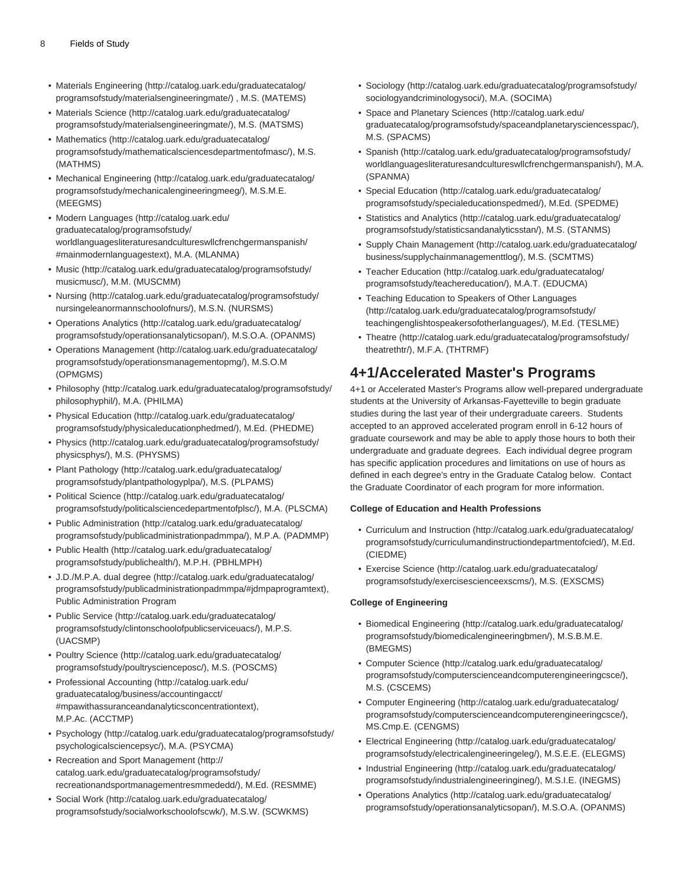- [Materials Engineering](http://catalog.uark.edu/graduatecatalog/programsofstudy/materialsengineeringmate/) [\(http://catalog.uark.edu/graduatecatalog/](http://catalog.uark.edu/graduatecatalog/programsofstudy/materialsengineeringmate/) [programsofstudy/materialsengineeringmate/](http://catalog.uark.edu/graduatecatalog/programsofstudy/materialsengineeringmate/)) , M.S. (MATEMS)
- [Materials Science](http://catalog.uark.edu/graduatecatalog/programsofstudy/materialsengineeringmate/) [\(http://catalog.uark.edu/graduatecatalog/](http://catalog.uark.edu/graduatecatalog/programsofstudy/materialsengineeringmate/) [programsofstudy/materialsengineeringmate/](http://catalog.uark.edu/graduatecatalog/programsofstudy/materialsengineeringmate/)), M.S. (MATSMS)
- [Mathematics](http://catalog.uark.edu/graduatecatalog/programsofstudy/mathematicalsciencesdepartmentofmasc/) [\(http://catalog.uark.edu/graduatecatalog/](http://catalog.uark.edu/graduatecatalog/programsofstudy/mathematicalsciencesdepartmentofmasc/) [programsofstudy/mathematicalsciencesdepartmentofmasc/\)](http://catalog.uark.edu/graduatecatalog/programsofstudy/mathematicalsciencesdepartmentofmasc/), M.S. (MATHMS)
- [Mechanical Engineering](http://catalog.uark.edu/graduatecatalog/programsofstudy/mechanicalengineeringmeeg/) [\(http://catalog.uark.edu/graduatecatalog/](http://catalog.uark.edu/graduatecatalog/programsofstudy/mechanicalengineeringmeeg/) [programsofstudy/mechanicalengineeringmeeg/](http://catalog.uark.edu/graduatecatalog/programsofstudy/mechanicalengineeringmeeg/)), M.S.M.E. (MEEGMS)
- [Modern Languages](http://catalog.uark.edu/graduatecatalog/programsofstudy/worldlanguagesliteraturesandcultureswllcfrenchgermanspanish/#mainmodernlanguagestext) ([http://catalog.uark.edu/](http://catalog.uark.edu/graduatecatalog/programsofstudy/worldlanguagesliteraturesandcultureswllcfrenchgermanspanish/#mainmodernlanguagestext) [graduatecatalog/programsofstudy/](http://catalog.uark.edu/graduatecatalog/programsofstudy/worldlanguagesliteraturesandcultureswllcfrenchgermanspanish/#mainmodernlanguagestext) [worldlanguagesliteraturesandcultureswllcfrenchgermanspanish/](http://catalog.uark.edu/graduatecatalog/programsofstudy/worldlanguagesliteraturesandcultureswllcfrenchgermanspanish/#mainmodernlanguagestext) [#mainmodernlanguagestext\)](http://catalog.uark.edu/graduatecatalog/programsofstudy/worldlanguagesliteraturesandcultureswllcfrenchgermanspanish/#mainmodernlanguagestext), M.A. (MLANMA)
- [Music](http://catalog.uark.edu/graduatecatalog/programsofstudy/musicmusc/) ([http://catalog.uark.edu/graduatecatalog/programsofstudy/](http://catalog.uark.edu/graduatecatalog/programsofstudy/musicmusc/) [musicmusc/](http://catalog.uark.edu/graduatecatalog/programsofstudy/musicmusc/)), M.M. (MUSCMM)
- [Nursing \(http://catalog.uark.edu/graduatecatalog/programsofstudy/](http://catalog.uark.edu/graduatecatalog/programsofstudy/nursingeleanormannschoolofnurs/) [nursingeleanormannschoolofnurs/](http://catalog.uark.edu/graduatecatalog/programsofstudy/nursingeleanormannschoolofnurs/)), M.S.N. (NURSMS)
- [Operations Analytics](http://catalog.uark.edu/graduatecatalog/programsofstudy/operationsanalyticsopan/) [\(http://catalog.uark.edu/graduatecatalog/](http://catalog.uark.edu/graduatecatalog/programsofstudy/operationsanalyticsopan/) [programsofstudy/operationsanalyticsopan/](http://catalog.uark.edu/graduatecatalog/programsofstudy/operationsanalyticsopan/)), M.S.O.A. (OPANMS)
- [Operations Management](http://catalog.uark.edu/graduatecatalog/programsofstudy/operationsmanagementopmg/) ([http://catalog.uark.edu/graduatecatalog/](http://catalog.uark.edu/graduatecatalog/programsofstudy/operationsmanagementopmg/) [programsofstudy/operationsmanagementopmg/](http://catalog.uark.edu/graduatecatalog/programsofstudy/operationsmanagementopmg/)), M.S.O.M (OPMGMS)
- [Philosophy](http://catalog.uark.edu/graduatecatalog/programsofstudy/philosophyphil/) [\(http://catalog.uark.edu/graduatecatalog/programsofstudy/](http://catalog.uark.edu/graduatecatalog/programsofstudy/philosophyphil/) [philosophyphil/\)](http://catalog.uark.edu/graduatecatalog/programsofstudy/philosophyphil/), M.A. (PHILMA)
- [Physical Education \(http://catalog.uark.edu/graduatecatalog/](http://catalog.uark.edu/graduatecatalog/programsofstudy/physicaleducationphedmed/) [programsofstudy/physicaleducationphedmed/\)](http://catalog.uark.edu/graduatecatalog/programsofstudy/physicaleducationphedmed/), M.Ed. (PHEDME)
- [Physics \(http://catalog.uark.edu/graduatecatalog/programsofstudy/](http://catalog.uark.edu/graduatecatalog/programsofstudy/physicsphys/) [physicsphys/\)](http://catalog.uark.edu/graduatecatalog/programsofstudy/physicsphys/), M.S. (PHYSMS)
- [Plant Pathology](http://catalog.uark.edu/graduatecatalog/programsofstudy/plantpathologyplpa/) ([http://catalog.uark.edu/graduatecatalog/](http://catalog.uark.edu/graduatecatalog/programsofstudy/plantpathologyplpa/) [programsofstudy/plantpathologyplpa/](http://catalog.uark.edu/graduatecatalog/programsofstudy/plantpathologyplpa/)), M.S. (PLPAMS)
- [Political Science](http://catalog.uark.edu/graduatecatalog/programsofstudy/politicalsciencedepartmentofplsc/) [\(http://catalog.uark.edu/graduatecatalog/](http://catalog.uark.edu/graduatecatalog/programsofstudy/politicalsciencedepartmentofplsc/) [programsofstudy/politicalsciencedepartmentofplsc/](http://catalog.uark.edu/graduatecatalog/programsofstudy/politicalsciencedepartmentofplsc/)), M.A. (PLSCMA)
- [Public Administration](http://catalog.uark.edu/graduatecatalog/programsofstudy/publicadministrationpadmmpa/) ([http://catalog.uark.edu/graduatecatalog/](http://catalog.uark.edu/graduatecatalog/programsofstudy/publicadministrationpadmmpa/) [programsofstudy/publicadministrationpadmmpa/](http://catalog.uark.edu/graduatecatalog/programsofstudy/publicadministrationpadmmpa/)), M.P.A. (PADMMP)
- [Public Health](http://catalog.uark.edu/graduatecatalog/programsofstudy/publichealth/) [\(http://catalog.uark.edu/graduatecatalog/](http://catalog.uark.edu/graduatecatalog/programsofstudy/publichealth/) [programsofstudy/publichealth/\)](http://catalog.uark.edu/graduatecatalog/programsofstudy/publichealth/), M.P.H. (PBHLMPH)
- [J.D./M.P.A. dual degree](http://catalog.uark.edu/graduatecatalog/programsofstudy/publicadministrationpadmmpa/#jdmpaprogramtext) ([http://catalog.uark.edu/graduatecatalog/](http://catalog.uark.edu/graduatecatalog/programsofstudy/publicadministrationpadmmpa/#jdmpaprogramtext) [programsofstudy/publicadministrationpadmmpa/#jdmpaprogramtext](http://catalog.uark.edu/graduatecatalog/programsofstudy/publicadministrationpadmmpa/#jdmpaprogramtext)), Public Administration Program
- [Public Service](http://catalog.uark.edu/graduatecatalog/programsofstudy/clintonschoolofpublicserviceuacs/) ([http://catalog.uark.edu/graduatecatalog/](http://catalog.uark.edu/graduatecatalog/programsofstudy/clintonschoolofpublicserviceuacs/) [programsofstudy/clintonschoolofpublicserviceuacs/](http://catalog.uark.edu/graduatecatalog/programsofstudy/clintonschoolofpublicserviceuacs/)), M.P.S. (UACSMP)
- [Poultry Science \(http://catalog.uark.edu/graduatecatalog/](http://catalog.uark.edu/graduatecatalog/programsofstudy/poultryscienceposc/) [programsofstudy/poultryscienceposc/](http://catalog.uark.edu/graduatecatalog/programsofstudy/poultryscienceposc/)), M.S. (POSCMS)
- [Professional Accounting](http://catalog.uark.edu/graduatecatalog/business/accountingacct/#mpawithassuranceandanalyticsconcentrationtext) ([http://catalog.uark.edu/](http://catalog.uark.edu/graduatecatalog/business/accountingacct/#mpawithassuranceandanalyticsconcentrationtext) [graduatecatalog/business/accountingacct/](http://catalog.uark.edu/graduatecatalog/business/accountingacct/#mpawithassuranceandanalyticsconcentrationtext) [#mpawithassuranceandanalyticsconcentrationtext\)](http://catalog.uark.edu/graduatecatalog/business/accountingacct/#mpawithassuranceandanalyticsconcentrationtext), M.P.Ac. (ACCTMP)
- [Psychology](http://catalog.uark.edu/graduatecatalog/programsofstudy/psychologicalsciencepsyc/) ([http://catalog.uark.edu/graduatecatalog/programsofstudy/](http://catalog.uark.edu/graduatecatalog/programsofstudy/psychologicalsciencepsyc/) [psychologicalsciencepsyc/\)](http://catalog.uark.edu/graduatecatalog/programsofstudy/psychologicalsciencepsyc/), M.A. (PSYCMA)
- [Recreation and Sport Management \(http://](http://catalog.uark.edu/graduatecatalog/programsofstudy/recreationandsportmanagementresmmededd/) [catalog.uark.edu/graduatecatalog/programsofstudy/](http://catalog.uark.edu/graduatecatalog/programsofstudy/recreationandsportmanagementresmmededd/) [recreationandsportmanagementresmmededd/](http://catalog.uark.edu/graduatecatalog/programsofstudy/recreationandsportmanagementresmmededd/)), M.Ed. (RESMME)
- [Social Work](http://catalog.uark.edu/graduatecatalog/programsofstudy/socialworkschoolofscwk/) ([http://catalog.uark.edu/graduatecatalog/](http://catalog.uark.edu/graduatecatalog/programsofstudy/socialworkschoolofscwk/) [programsofstudy/socialworkschoolofscwk/\)](http://catalog.uark.edu/graduatecatalog/programsofstudy/socialworkschoolofscwk/), M.S.W. (SCWKMS)
- [Sociology](http://catalog.uark.edu/graduatecatalog/programsofstudy/sociologyandcriminologysoci/) ([http://catalog.uark.edu/graduatecatalog/programsofstudy/](http://catalog.uark.edu/graduatecatalog/programsofstudy/sociologyandcriminologysoci/) [sociologyandcriminologysoci/\)](http://catalog.uark.edu/graduatecatalog/programsofstudy/sociologyandcriminologysoci/), M.A. (SOCIMA)
- [Space and Planetary Sciences](http://catalog.uark.edu/graduatecatalog/programsofstudy/spaceandplanetarysciencesspac/) [\(http://catalog.uark.edu/](http://catalog.uark.edu/graduatecatalog/programsofstudy/spaceandplanetarysciencesspac/) [graduatecatalog/programsofstudy/spaceandplanetarysciencesspac/](http://catalog.uark.edu/graduatecatalog/programsofstudy/spaceandplanetarysciencesspac/)), M.S. (SPACMS)
- [Spanish](http://catalog.uark.edu/graduatecatalog/programsofstudy/worldlanguagesliteraturesandcultureswllcfrenchgermanspanish/) ([http://catalog.uark.edu/graduatecatalog/programsofstudy/](http://catalog.uark.edu/graduatecatalog/programsofstudy/worldlanguagesliteraturesandcultureswllcfrenchgermanspanish/) [worldlanguagesliteraturesandcultureswllcfrenchgermanspanish/](http://catalog.uark.edu/graduatecatalog/programsofstudy/worldlanguagesliteraturesandcultureswllcfrenchgermanspanish/)), M.A. (SPANMA)
- [Special Education](http://catalog.uark.edu/graduatecatalog/programsofstudy/specialeducationspedmed/) [\(http://catalog.uark.edu/graduatecatalog/](http://catalog.uark.edu/graduatecatalog/programsofstudy/specialeducationspedmed/) [programsofstudy/specialeducationspedmed/\)](http://catalog.uark.edu/graduatecatalog/programsofstudy/specialeducationspedmed/), M.Ed. (SPEDME)
- [Statistics and Analytics](http://catalog.uark.edu/graduatecatalog/programsofstudy/statisticsandanalyticsstan/) ([http://catalog.uark.edu/graduatecatalog/](http://catalog.uark.edu/graduatecatalog/programsofstudy/statisticsandanalyticsstan/) [programsofstudy/statisticsandanalyticsstan/](http://catalog.uark.edu/graduatecatalog/programsofstudy/statisticsandanalyticsstan/)), M.S. (STANMS)
- [Supply Chain Management](http://catalog.uark.edu/graduatecatalog/business/supplychainmanagementtlog/) ([http://catalog.uark.edu/graduatecatalog/](http://catalog.uark.edu/graduatecatalog/business/supplychainmanagementtlog/) [business/supplychainmanagementtlog/](http://catalog.uark.edu/graduatecatalog/business/supplychainmanagementtlog/)), M.S. (SCMTMS)
- [Teacher Education](http://catalog.uark.edu/graduatecatalog/programsofstudy/teachereducation/) [\(http://catalog.uark.edu/graduatecatalog/](http://catalog.uark.edu/graduatecatalog/programsofstudy/teachereducation/) [programsofstudy/teachereducation/\)](http://catalog.uark.edu/graduatecatalog/programsofstudy/teachereducation/), M.A.T. (EDUCMA)
- [Teaching Education to Speakers of Other Languages](http://catalog.uark.edu/graduatecatalog/programsofstudy/teachingenglishtospeakersofotherlanguages/) ([http://catalog.uark.edu/graduatecatalog/programsofstudy/](http://catalog.uark.edu/graduatecatalog/programsofstudy/teachingenglishtospeakersofotherlanguages/) [teachingenglishtospeakersofotherlanguages/\)](http://catalog.uark.edu/graduatecatalog/programsofstudy/teachingenglishtospeakersofotherlanguages/), M.Ed. (TESLME)
- [Theatre](http://catalog.uark.edu/graduatecatalog/programsofstudy/theatrethtr/) ([http://catalog.uark.edu/graduatecatalog/programsofstudy/](http://catalog.uark.edu/graduatecatalog/programsofstudy/theatrethtr/) [theatrethtr/\)](http://catalog.uark.edu/graduatecatalog/programsofstudy/theatrethtr/), M.F.A. (THTRMF)

### **4+1/Accelerated Master's Programs**

4+1 or Accelerated Master's Programs allow well-prepared undergraduate students at the University of Arkansas-Fayetteville to begin graduate studies during the last year of their undergraduate careers. Students accepted to an approved accelerated program enroll in 6-12 hours of graduate coursework and may be able to apply those hours to both their undergraduate and graduate degrees. Each individual degree program has specific application procedures and limitations on use of hours as defined in each degree's entry in the Graduate Catalog below. Contact the Graduate Coordinator of each program for more information.

#### **College of Education and Health Professions**

- [Curriculum and Instruction \(http://catalog.uark.edu/graduatecatalog/](http://catalog.uark.edu/graduatecatalog/programsofstudy/curriculumandinstructiondepartmentofcied/) [programsofstudy/curriculumandinstructiondepartmentofcied/\)](http://catalog.uark.edu/graduatecatalog/programsofstudy/curriculumandinstructiondepartmentofcied/), M.Ed. (CIEDME)
- [Exercise Science \(http://catalog.uark.edu/graduatecatalog/](http://catalog.uark.edu/graduatecatalog/programsofstudy/exercisescienceexscms/) [programsofstudy/exercisescienceexscms/](http://catalog.uark.edu/graduatecatalog/programsofstudy/exercisescienceexscms/)), M.S. (EXSCMS)

#### **College of Engineering**

- [Biomedical Engineering](http://catalog.uark.edu/graduatecatalog/programsofstudy/biomedicalengineeringbmen/) [\(http://catalog.uark.edu/graduatecatalog/](http://catalog.uark.edu/graduatecatalog/programsofstudy/biomedicalengineeringbmen/) [programsofstudy/biomedicalengineeringbmen/](http://catalog.uark.edu/graduatecatalog/programsofstudy/biomedicalengineeringbmen/)), M.S.B.M.E. (BMEGMS)
- [Computer Science](http://catalog.uark.edu/graduatecatalog/programsofstudy/computerscienceandcomputerengineeringcsce/) ([http://catalog.uark.edu/graduatecatalog/](http://catalog.uark.edu/graduatecatalog/programsofstudy/computerscienceandcomputerengineeringcsce/) [programsofstudy/computerscienceandcomputerengineeringcsce/\)](http://catalog.uark.edu/graduatecatalog/programsofstudy/computerscienceandcomputerengineeringcsce/), M.S. (CSCEMS)
- [Computer Engineering](http://catalog.uark.edu/graduatecatalog/programsofstudy/computerscienceandcomputerengineeringcsce/) [\(http://catalog.uark.edu/graduatecatalog/](http://catalog.uark.edu/graduatecatalog/programsofstudy/computerscienceandcomputerengineeringcsce/) [programsofstudy/computerscienceandcomputerengineeringcsce/\)](http://catalog.uark.edu/graduatecatalog/programsofstudy/computerscienceandcomputerengineeringcsce/), MS.Cmp.E. (CENGMS)
- [Electrical Engineering \(http://catalog.uark.edu/graduatecatalog/](http://catalog.uark.edu/graduatecatalog/programsofstudy/electricalengineeringeleg/) [programsofstudy/electricalengineeringeleg/\)](http://catalog.uark.edu/graduatecatalog/programsofstudy/electricalengineeringeleg/), M.S.E.E. (ELEGMS)
- [Industrial Engineering \(http://catalog.uark.edu/graduatecatalog/](http://catalog.uark.edu/graduatecatalog/programsofstudy/industrialengineeringineg/) [programsofstudy/industrialengineeringineg/](http://catalog.uark.edu/graduatecatalog/programsofstudy/industrialengineeringineg/)), M.S.I.E. (INEGMS)
- [Operations Analytics \(http://catalog.uark.edu/graduatecatalog/](http://catalog.uark.edu/graduatecatalog/programsofstudy/operationsanalyticsopan/) [programsofstudy/operationsanalyticsopan/](http://catalog.uark.edu/graduatecatalog/programsofstudy/operationsanalyticsopan/)), M.S.O.A. (OPANMS)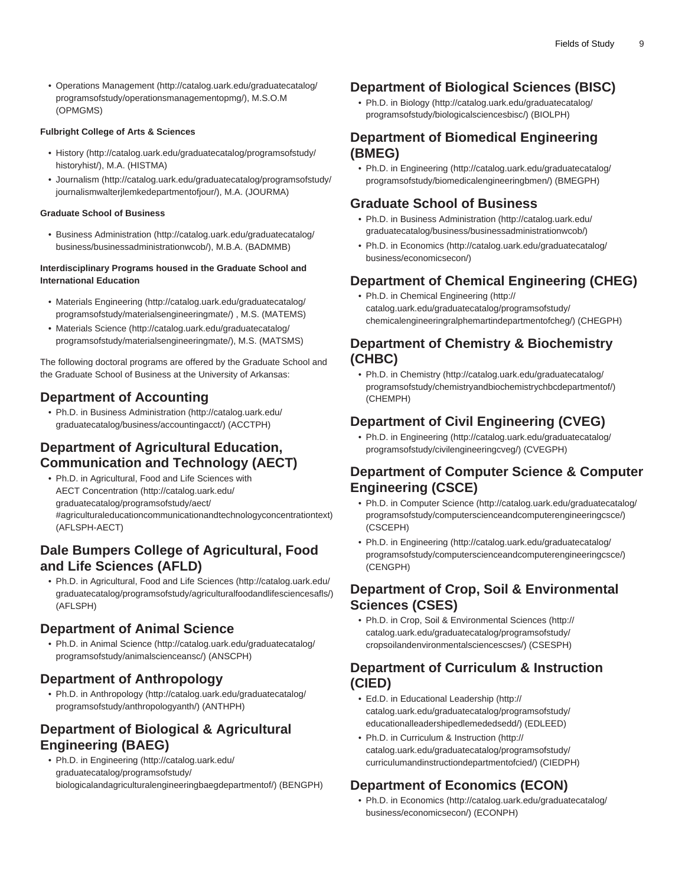• [Operations Management](http://catalog.uark.edu/graduatecatalog/programsofstudy/operationsmanagementopmg/) ([http://catalog.uark.edu/graduatecatalog/](http://catalog.uark.edu/graduatecatalog/programsofstudy/operationsmanagementopmg/) [programsofstudy/operationsmanagementopmg/](http://catalog.uark.edu/graduatecatalog/programsofstudy/operationsmanagementopmg/)), M.S.O.M (OPMGMS)

#### **Fulbright College of Arts & Sciences**

- [History](http://catalog.uark.edu/graduatecatalog/programsofstudy/historyhist/) ([http://catalog.uark.edu/graduatecatalog/programsofstudy/](http://catalog.uark.edu/graduatecatalog/programsofstudy/historyhist/) [historyhist/](http://catalog.uark.edu/graduatecatalog/programsofstudy/historyhist/)), M.A. (HISTMA)
- [Journalism](http://catalog.uark.edu/graduatecatalog/programsofstudy/journalismwalterjlemkedepartmentofjour/) ([http://catalog.uark.edu/graduatecatalog/programsofstudy/](http://catalog.uark.edu/graduatecatalog/programsofstudy/journalismwalterjlemkedepartmentofjour/) [journalismwalterjlemkedepartmentofjour/\)](http://catalog.uark.edu/graduatecatalog/programsofstudy/journalismwalterjlemkedepartmentofjour/), M.A. (JOURMA)

#### **Graduate School of Business**

• [Business Administration](http://catalog.uark.edu/graduatecatalog/business/businessadministrationwcob/) [\(http://catalog.uark.edu/graduatecatalog/](http://catalog.uark.edu/graduatecatalog/business/businessadministrationwcob/) [business/businessadministrationwcob/](http://catalog.uark.edu/graduatecatalog/business/businessadministrationwcob/)), M.B.A. (BADMMB)

#### **Interdisciplinary Programs housed in the Graduate School and International Education**

- [Materials Engineering](http://catalog.uark.edu/graduatecatalog/programsofstudy/materialsengineeringmate/) [\(http://catalog.uark.edu/graduatecatalog/](http://catalog.uark.edu/graduatecatalog/programsofstudy/materialsengineeringmate/) [programsofstudy/materialsengineeringmate/](http://catalog.uark.edu/graduatecatalog/programsofstudy/materialsengineeringmate/)) , M.S. (MATEMS)
- [Materials Science](http://catalog.uark.edu/graduatecatalog/programsofstudy/materialsengineeringmate/) [\(http://catalog.uark.edu/graduatecatalog/](http://catalog.uark.edu/graduatecatalog/programsofstudy/materialsengineeringmate/) [programsofstudy/materialsengineeringmate/](http://catalog.uark.edu/graduatecatalog/programsofstudy/materialsengineeringmate/)), M.S. (MATSMS)

The following doctoral programs are offered by the Graduate School and the Graduate School of Business at the University of Arkansas:

### **Department of Accounting**

• Ph.D. in [Business Administration](http://catalog.uark.edu/graduatecatalog/business/accountingacct/) ([http://catalog.uark.edu/](http://catalog.uark.edu/graduatecatalog/business/accountingacct/) [graduatecatalog/business/accountingacct/\)](http://catalog.uark.edu/graduatecatalog/business/accountingacct/) (ACCTPH)

### **Department of Agricultural Education, Communication and Technology (AECT)**

• Ph.D. in [Agricultural, Food and Life Sciences with](http://catalog.uark.edu/graduatecatalog/programsofstudy/aect/#agriculturaleducationcommunicationandtechnologyconcentrationtext) [AECT Concentration](http://catalog.uark.edu/graduatecatalog/programsofstudy/aect/#agriculturaleducationcommunicationandtechnologyconcentrationtext) [\(http://catalog.uark.edu/](http://catalog.uark.edu/graduatecatalog/programsofstudy/aect/#agriculturaleducationcommunicationandtechnologyconcentrationtext) [graduatecatalog/programsofstudy/aect/](http://catalog.uark.edu/graduatecatalog/programsofstudy/aect/#agriculturaleducationcommunicationandtechnologyconcentrationtext) [#agriculturaleducationcommunicationandtechnologyconcentrationtext](http://catalog.uark.edu/graduatecatalog/programsofstudy/aect/#agriculturaleducationcommunicationandtechnologyconcentrationtext)) (AFLSPH-AECT)

### **Dale Bumpers College of Agricultural, Food and Life Sciences (AFLD)**

• Ph.D. in [Agricultural, Food and Life Sciences](http://catalog.uark.edu/graduatecatalog/programsofstudy/agriculturalfoodandlifesciencesafls/) ([http://catalog.uark.edu/](http://catalog.uark.edu/graduatecatalog/programsofstudy/agriculturalfoodandlifesciencesafls/) [graduatecatalog/programsofstudy/agriculturalfoodandlifesciencesafls/](http://catalog.uark.edu/graduatecatalog/programsofstudy/agriculturalfoodandlifesciencesafls/)) (AFLSPH)

#### **Department of Animal Science**

• Ph.D. in [Animal Science](http://catalog.uark.edu/graduatecatalog/programsofstudy/animalscienceansc/) ([http://catalog.uark.edu/graduatecatalog/](http://catalog.uark.edu/graduatecatalog/programsofstudy/animalscienceansc/) [programsofstudy/animalscienceansc/\)](http://catalog.uark.edu/graduatecatalog/programsofstudy/animalscienceansc/) (ANSCPH)

#### **Department of Anthropology**

• Ph.D. in [Anthropology](http://catalog.uark.edu/graduatecatalog/programsofstudy/anthropologyanth/) ([http://catalog.uark.edu/graduatecatalog/](http://catalog.uark.edu/graduatecatalog/programsofstudy/anthropologyanth/) [programsofstudy/anthropologyanth/\)](http://catalog.uark.edu/graduatecatalog/programsofstudy/anthropologyanth/) (ANTHPH)

#### **Department of Biological & Agricultural Engineering (BAEG)**

• Ph.D. in [Engineering](http://catalog.uark.edu/graduatecatalog/programsofstudy/biologicalandagriculturalengineeringbaegdepartmentof/) [\(http://catalog.uark.edu/](http://catalog.uark.edu/graduatecatalog/programsofstudy/biologicalandagriculturalengineeringbaegdepartmentof/) [graduatecatalog/programsofstudy/](http://catalog.uark.edu/graduatecatalog/programsofstudy/biologicalandagriculturalengineeringbaegdepartmentof/) [biologicalandagriculturalengineeringbaegdepartmentof/\)](http://catalog.uark.edu/graduatecatalog/programsofstudy/biologicalandagriculturalengineeringbaegdepartmentof/) (BENGPH)

#### **Department of Biological Sciences (BISC)**

• Ph.D. in [Biology](http://catalog.uark.edu/graduatecatalog/programsofstudy/biologicalsciencesbisc/) ([http://catalog.uark.edu/graduatecatalog/](http://catalog.uark.edu/graduatecatalog/programsofstudy/biologicalsciencesbisc/) [programsofstudy/biologicalsciencesbisc/\)](http://catalog.uark.edu/graduatecatalog/programsofstudy/biologicalsciencesbisc/) (BIOLPH)

### **Department of Biomedical Engineering (BMEG)**

• Ph.D. in [Engineering \(http://catalog.uark.edu/graduatecatalog/](http://catalog.uark.edu/graduatecatalog/programsofstudy/biomedicalengineeringbmen/) [programsofstudy/biomedicalengineeringbmen/](http://catalog.uark.edu/graduatecatalog/programsofstudy/biomedicalengineeringbmen/)) (BMEGPH)

#### **Graduate School of Business**

- Ph.D. in [Business Administration](http://catalog.uark.edu/graduatecatalog/business/businessadministrationwcob/) [\(http://catalog.uark.edu/](http://catalog.uark.edu/graduatecatalog/business/businessadministrationwcob/) [graduatecatalog/business/businessadministrationwcob/\)](http://catalog.uark.edu/graduatecatalog/business/businessadministrationwcob/)
- Ph.D. in [Economics](http://catalog.uark.edu/graduatecatalog/business/economicsecon/) ([http://catalog.uark.edu/graduatecatalog/](http://catalog.uark.edu/graduatecatalog/business/economicsecon/) [business/economicsecon/\)](http://catalog.uark.edu/graduatecatalog/business/economicsecon/)

### **Department of Chemical Engineering (CHEG)**

• Ph.D. in [Chemical Engineering](http://catalog.uark.edu/graduatecatalog/programsofstudy/chemicalengineeringralphemartindepartmentofcheg/) [\(http://](http://catalog.uark.edu/graduatecatalog/programsofstudy/chemicalengineeringralphemartindepartmentofcheg/) [catalog.uark.edu/graduatecatalog/programsofstudy/](http://catalog.uark.edu/graduatecatalog/programsofstudy/chemicalengineeringralphemartindepartmentofcheg/) [chemicalengineeringralphemartindepartmentofcheg/\)](http://catalog.uark.edu/graduatecatalog/programsofstudy/chemicalengineeringralphemartindepartmentofcheg/) (CHEGPH)

#### **Department of Chemistry & Biochemistry (CHBC)**

• Ph.D. in [Chemistry](http://catalog.uark.edu/graduatecatalog/programsofstudy/chemistryandbiochemistrychbcdepartmentof/) ([http://catalog.uark.edu/graduatecatalog/](http://catalog.uark.edu/graduatecatalog/programsofstudy/chemistryandbiochemistrychbcdepartmentof/) [programsofstudy/chemistryandbiochemistrychbcdepartmentof/\)](http://catalog.uark.edu/graduatecatalog/programsofstudy/chemistryandbiochemistrychbcdepartmentof/) (CHEMPH)

### **Department of Civil Engineering (CVEG)**

• Ph.D. in [Engineering \(http://catalog.uark.edu/graduatecatalog/](http://catalog.uark.edu/graduatecatalog/programsofstudy/civilengineeringcveg/) [programsofstudy/civilengineeringcveg/](http://catalog.uark.edu/graduatecatalog/programsofstudy/civilengineeringcveg/)) (CVEGPH)

### **Department of Computer Science & Computer Engineering (CSCE)**

- Ph.D. in [Computer Science](http://catalog.uark.edu/graduatecatalog/programsofstudy/computerscienceandcomputerengineeringcsce/) ([http://catalog.uark.edu/graduatecatalog/](http://catalog.uark.edu/graduatecatalog/programsofstudy/computerscienceandcomputerengineeringcsce/) [programsofstudy/computerscienceandcomputerengineeringcsce/\)](http://catalog.uark.edu/graduatecatalog/programsofstudy/computerscienceandcomputerengineeringcsce/) (CSCEPH)
- Ph.D. in [Engineering \(http://catalog.uark.edu/graduatecatalog/](http://catalog.uark.edu/graduatecatalog/programsofstudy/computerscienceandcomputerengineeringcsce/) [programsofstudy/computerscienceandcomputerengineeringcsce/\)](http://catalog.uark.edu/graduatecatalog/programsofstudy/computerscienceandcomputerengineeringcsce/) (CENGPH)

#### **Department of Crop, Soil & Environmental Sciences (CSES)**

• Ph.D. in [Crop, Soil & Environmental Sciences \(http://](http://catalog.uark.edu/graduatecatalog/programsofstudy/cropsoilandenvironmentalsciencescses/) [catalog.uark.edu/graduatecatalog/programsofstudy/](http://catalog.uark.edu/graduatecatalog/programsofstudy/cropsoilandenvironmentalsciencescses/) [cropsoilandenvironmentalsciencescses/](http://catalog.uark.edu/graduatecatalog/programsofstudy/cropsoilandenvironmentalsciencescses/)) (CSESPH)

#### **Department of Curriculum & Instruction (CIED)**

- Ed.D. in [Educational Leadership](http://catalog.uark.edu/graduatecatalog/programsofstudy/educationalleadershipedlemededsedd/) [\(http://](http://catalog.uark.edu/graduatecatalog/programsofstudy/educationalleadershipedlemededsedd/) [catalog.uark.edu/graduatecatalog/programsofstudy/](http://catalog.uark.edu/graduatecatalog/programsofstudy/educationalleadershipedlemededsedd/) [educationalleadershipedlemededsedd/](http://catalog.uark.edu/graduatecatalog/programsofstudy/educationalleadershipedlemededsedd/)) (EDLEED)
- Ph.D. [in Curriculum & Instruction](http://catalog.uark.edu/graduatecatalog/programsofstudy/curriculumandinstructiondepartmentofcied/) [\(http://](http://catalog.uark.edu/graduatecatalog/programsofstudy/curriculumandinstructiondepartmentofcied/) [catalog.uark.edu/graduatecatalog/programsofstudy/](http://catalog.uark.edu/graduatecatalog/programsofstudy/curriculumandinstructiondepartmentofcied/) [curriculumandinstructiondepartmentofcied/\)](http://catalog.uark.edu/graduatecatalog/programsofstudy/curriculumandinstructiondepartmentofcied/) (CIEDPH)

### **Department of Economics (ECON)**

• Ph.D. in [Economics](http://catalog.uark.edu/graduatecatalog/business/economicsecon/) ([http://catalog.uark.edu/graduatecatalog/](http://catalog.uark.edu/graduatecatalog/business/economicsecon/) [business/economicsecon/\)](http://catalog.uark.edu/graduatecatalog/business/economicsecon/) (ECONPH)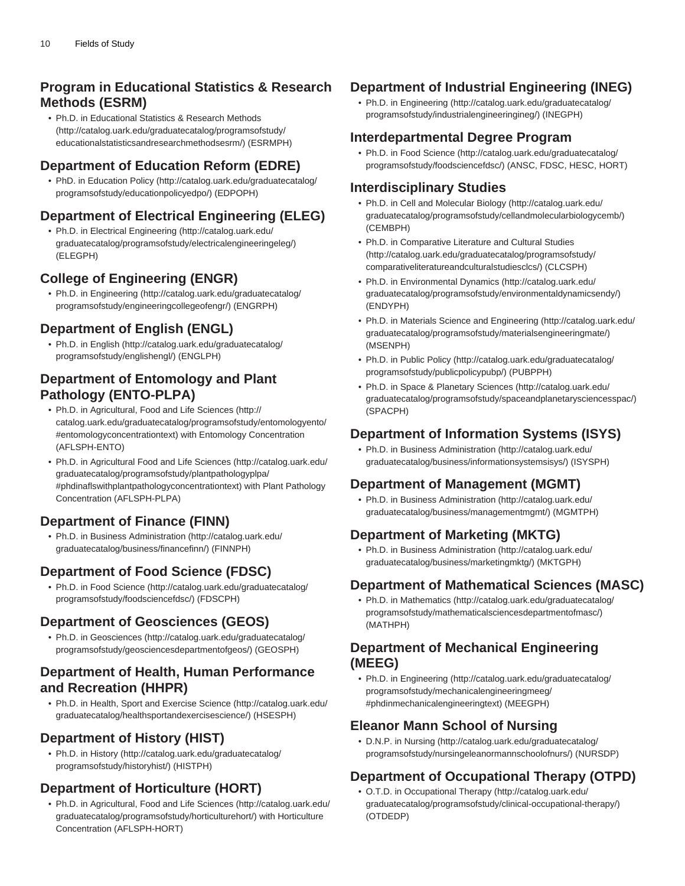### **Program in Educational Statistics & Research Methods (ESRM)**

• Ph.D. in [Educational Statistics & Research Methods](http://catalog.uark.edu/graduatecatalog/programsofstudy/educationalstatisticsandresearchmethodsesrm/) ([http://catalog.uark.edu/graduatecatalog/programsofstudy/](http://catalog.uark.edu/graduatecatalog/programsofstudy/educationalstatisticsandresearchmethodsesrm/) [educationalstatisticsandresearchmethodsesrm/\)](http://catalog.uark.edu/graduatecatalog/programsofstudy/educationalstatisticsandresearchmethodsesrm/) (ESRMPH)

### **Department of Education Reform (EDRE)**

• PhD. in [Education Policy \(http://catalog.uark.edu/graduatecatalog/](http://catalog.uark.edu/graduatecatalog/programsofstudy/educationpolicyedpo/) [programsofstudy/educationpolicyedpo/\)](http://catalog.uark.edu/graduatecatalog/programsofstudy/educationpolicyedpo/) (EDPOPH)

### **Department of Electrical Engineering (ELEG)**

• Ph.D. in [Electrical Engineering](http://catalog.uark.edu/graduatecatalog/programsofstudy/electricalengineeringeleg/) ([http://catalog.uark.edu/](http://catalog.uark.edu/graduatecatalog/programsofstudy/electricalengineeringeleg/) [graduatecatalog/programsofstudy/electricalengineeringeleg/](http://catalog.uark.edu/graduatecatalog/programsofstudy/electricalengineeringeleg/)) (ELEGPH)

### **College of Engineering (ENGR)**

• Ph.D. in [Engineering](http://catalog.uark.edu/graduatecatalog/programsofstudy/engineeringcollegeofengr/) [\(http://catalog.uark.edu/graduatecatalog/](http://catalog.uark.edu/graduatecatalog/programsofstudy/engineeringcollegeofengr/) [programsofstudy/engineeringcollegeofengr/\)](http://catalog.uark.edu/graduatecatalog/programsofstudy/engineeringcollegeofengr/) (ENGRPH)

### **Department of English (ENGL)**

• Ph.D. in [English](http://catalog.uark.edu/graduatecatalog/programsofstudy/englishengl/) ([http://catalog.uark.edu/graduatecatalog/](http://catalog.uark.edu/graduatecatalog/programsofstudy/englishengl/) [programsofstudy/englishengl/](http://catalog.uark.edu/graduatecatalog/programsofstudy/englishengl/)) (ENGLPH)

### **Department of Entomology and Plant Pathology (ENTO-PLPA)**

- Ph.D. in [Agricultural, Food and Life Sciences](http://catalog.uark.edu/graduatecatalog/programsofstudy/entomologyento/#entomologyconcentrationtext) ([http://](http://catalog.uark.edu/graduatecatalog/programsofstudy/entomologyento/#entomologyconcentrationtext) [catalog.uark.edu/graduatecatalog/programsofstudy/entomologyento/](http://catalog.uark.edu/graduatecatalog/programsofstudy/entomologyento/#entomologyconcentrationtext) [#entomologyconcentrationtext\)](http://catalog.uark.edu/graduatecatalog/programsofstudy/entomologyento/#entomologyconcentrationtext) with Entomology Concentration (AFLSPH-ENTO)
- Ph.D. in [Agricultural Food and Life Sciences \(http://catalog.uark.edu/](http://catalog.uark.edu/graduatecatalog/programsofstudy/plantpathologyplpa/#phdinaflswithplantpathologyconcentrationtext) [graduatecatalog/programsofstudy/plantpathologyplpa/](http://catalog.uark.edu/graduatecatalog/programsofstudy/plantpathologyplpa/#phdinaflswithplantpathologyconcentrationtext) [#phdinaflswithplantpathologyconcentrationtext\)](http://catalog.uark.edu/graduatecatalog/programsofstudy/plantpathologyplpa/#phdinaflswithplantpathologyconcentrationtext) with Plant Pathology Concentration (AFLSPH-PLPA)

# **Department of Finance (FINN)**

• Ph.D. in [Business Administration](http://catalog.uark.edu/graduatecatalog/business/financefinn/) ([http://catalog.uark.edu/](http://catalog.uark.edu/graduatecatalog/business/financefinn/) [graduatecatalog/business/financefinn/](http://catalog.uark.edu/graduatecatalog/business/financefinn/)) (FINNPH)

### **Department of Food Science (FDSC)**

• Ph.D. in [Food Science \(http://catalog.uark.edu/graduatecatalog/](http://catalog.uark.edu/graduatecatalog/programsofstudy/foodsciencefdsc/) [programsofstudy/foodsciencefdsc/](http://catalog.uark.edu/graduatecatalog/programsofstudy/foodsciencefdsc/)) (FDSCPH)

### **Department of Geosciences (GEOS)**

• Ph.D. in [Geosciences](http://catalog.uark.edu/graduatecatalog/programsofstudy/geosciencesdepartmentofgeos/) ([http://catalog.uark.edu/graduatecatalog/](http://catalog.uark.edu/graduatecatalog/programsofstudy/geosciencesdepartmentofgeos/) [programsofstudy/geosciencesdepartmentofgeos/\)](http://catalog.uark.edu/graduatecatalog/programsofstudy/geosciencesdepartmentofgeos/) (GEOSPH)

### **Department of Health, Human Performance and Recreation (HHPR)**

• Ph.D. in [Health, Sport and Exercise Science \(http://catalog.uark.edu/](http://catalog.uark.edu/graduatecatalog/healthsportandexercisescience/) [graduatecatalog/healthsportandexercisescience/\)](http://catalog.uark.edu/graduatecatalog/healthsportandexercisescience/) (HSESPH)

### **Department of History (HIST)**

• Ph.D. in [History \(http://catalog.uark.edu/graduatecatalog/](http://catalog.uark.edu/graduatecatalog/programsofstudy/historyhist/) [programsofstudy/historyhist/](http://catalog.uark.edu/graduatecatalog/programsofstudy/historyhist/)) (HISTPH)

### **Department of Horticulture (HORT)**

• Ph.D. in [Agricultural, Food and Life Sciences](http://catalog.uark.edu/graduatecatalog/programsofstudy/horticulturehort/) ([http://catalog.uark.edu/](http://catalog.uark.edu/graduatecatalog/programsofstudy/horticulturehort/) [graduatecatalog/programsofstudy/horticulturehort/\)](http://catalog.uark.edu/graduatecatalog/programsofstudy/horticulturehort/) with Horticulture Concentration (AFLSPH-HORT)

# **Department of Industrial Engineering (INEG)**

• Ph.D. in [Engineering \(http://catalog.uark.edu/graduatecatalog/](http://catalog.uark.edu/graduatecatalog/programsofstudy/industrialengineeringineg/) [programsofstudy/industrialengineeringineg/](http://catalog.uark.edu/graduatecatalog/programsofstudy/industrialengineeringineg/)) (INEGPH)

# **Interdepartmental Degree Program**

• Ph.D. in [Food Science](http://catalog.uark.edu/graduatecatalog/programsofstudy/foodsciencefdsc/) ([http://catalog.uark.edu/graduatecatalog/](http://catalog.uark.edu/graduatecatalog/programsofstudy/foodsciencefdsc/) [programsofstudy/foodsciencefdsc/\)](http://catalog.uark.edu/graduatecatalog/programsofstudy/foodsciencefdsc/) (ANSC, FDSC, HESC, HORT)

# **Interdisciplinary Studies**

- Ph.D. in [Cell and Molecular Biology \(http://catalog.uark.edu/](http://catalog.uark.edu/graduatecatalog/programsofstudy/cellandmolecularbiologycemb/) [graduatecatalog/programsofstudy/cellandmolecularbiologycemb/\)](http://catalog.uark.edu/graduatecatalog/programsofstudy/cellandmolecularbiologycemb/) (CEMBPH)
- Ph.D. in [Comparative Literature and Cultural Studies](http://catalog.uark.edu/graduatecatalog/programsofstudy/comparativeliteratureandculturalstudiesclcs/) ([http://catalog.uark.edu/graduatecatalog/programsofstudy/](http://catalog.uark.edu/graduatecatalog/programsofstudy/comparativeliteratureandculturalstudiesclcs/) [comparativeliteratureandculturalstudiesclcs/](http://catalog.uark.edu/graduatecatalog/programsofstudy/comparativeliteratureandculturalstudiesclcs/)) (CLCSPH)
- Ph.D. in [Environmental Dynamics](http://catalog.uark.edu/graduatecatalog/programsofstudy/environmentaldynamicsendy/) [\(http://catalog.uark.edu/](http://catalog.uark.edu/graduatecatalog/programsofstudy/environmentaldynamicsendy/) [graduatecatalog/programsofstudy/environmentaldynamicsendy/](http://catalog.uark.edu/graduatecatalog/programsofstudy/environmentaldynamicsendy/)) (ENDYPH)
- Ph.D. in [Materials Science and Engineering](http://catalog.uark.edu/graduatecatalog/programsofstudy/materialsengineeringmate/) [\(http://catalog.uark.edu/](http://catalog.uark.edu/graduatecatalog/programsofstudy/materialsengineeringmate/) [graduatecatalog/programsofstudy/materialsengineeringmate/\)](http://catalog.uark.edu/graduatecatalog/programsofstudy/materialsengineeringmate/) (MSENPH)
- Ph.D. in [Public Policy](http://catalog.uark.edu/graduatecatalog/programsofstudy/publicpolicypubp/) [\(http://catalog.uark.edu/graduatecatalog/](http://catalog.uark.edu/graduatecatalog/programsofstudy/publicpolicypubp/) [programsofstudy/publicpolicypubp/](http://catalog.uark.edu/graduatecatalog/programsofstudy/publicpolicypubp/)) (PUBPPH)
- Ph.D. in [Space & Planetary Sciences](http://catalog.uark.edu/graduatecatalog/programsofstudy/spaceandplanetarysciencesspac/) ([http://catalog.uark.edu/](http://catalog.uark.edu/graduatecatalog/programsofstudy/spaceandplanetarysciencesspac/) [graduatecatalog/programsofstudy/spaceandplanetarysciencesspac/](http://catalog.uark.edu/graduatecatalog/programsofstudy/spaceandplanetarysciencesspac/)) (SPACPH)

# **Department of Information Systems (ISYS)**

• Ph.D. in [Business Administration](http://catalog.uark.edu/graduatecatalog/business/informationsystemsisys/) [\(http://catalog.uark.edu/](http://catalog.uark.edu/graduatecatalog/business/informationsystemsisys/) [graduatecatalog/business/informationsystemsisys/](http://catalog.uark.edu/graduatecatalog/business/informationsystemsisys/)) (ISYSPH)

# **Department of Management (MGMT)**

• Ph.D. in [Business Administration](http://catalog.uark.edu/graduatecatalog/business/managementmgmt/) [\(http://catalog.uark.edu/](http://catalog.uark.edu/graduatecatalog/business/managementmgmt/) [graduatecatalog/business/managementmgmt/](http://catalog.uark.edu/graduatecatalog/business/managementmgmt/)) (MGMTPH)

# **Department of Marketing (MKTG)**

• Ph.D. in [Business Administration](http://catalog.uark.edu/graduatecatalog/business/marketingmktg/) [\(http://catalog.uark.edu/](http://catalog.uark.edu/graduatecatalog/business/marketingmktg/) [graduatecatalog/business/marketingmktg/](http://catalog.uark.edu/graduatecatalog/business/marketingmktg/)) (MKTGPH)

# **Department of Mathematical Sciences (MASC)**

• Ph.D. in [Mathematics](http://catalog.uark.edu/graduatecatalog/programsofstudy/mathematicalsciencesdepartmentofmasc/) [\(http://catalog.uark.edu/graduatecatalog/](http://catalog.uark.edu/graduatecatalog/programsofstudy/mathematicalsciencesdepartmentofmasc/) [programsofstudy/mathematicalsciencesdepartmentofmasc/](http://catalog.uark.edu/graduatecatalog/programsofstudy/mathematicalsciencesdepartmentofmasc/)) (MATHPH)

### **Department of Mechanical Engineering (MEEG)**

• Ph.D. in [Engineering \(http://catalog.uark.edu/graduatecatalog/](http://catalog.uark.edu/graduatecatalog/programsofstudy/mechanicalengineeringmeeg/#phdinmechanicalengineeringtext) [programsofstudy/mechanicalengineeringmeeg/](http://catalog.uark.edu/graduatecatalog/programsofstudy/mechanicalengineeringmeeg/#phdinmechanicalengineeringtext) [#phdinmechanicalengineeringtext](http://catalog.uark.edu/graduatecatalog/programsofstudy/mechanicalengineeringmeeg/#phdinmechanicalengineeringtext)) (MEEGPH)

# **Eleanor Mann School of Nursing**

• D.N.P. in [Nursing](http://catalog.uark.edu/graduatecatalog/programsofstudy/nursingeleanormannschoolofnurs/) ([http://catalog.uark.edu/graduatecatalog/](http://catalog.uark.edu/graduatecatalog/programsofstudy/nursingeleanormannschoolofnurs/) [programsofstudy/nursingeleanormannschoolofnurs/](http://catalog.uark.edu/graduatecatalog/programsofstudy/nursingeleanormannschoolofnurs/)) (NURSDP)

# **Department of Occupational Therapy (OTPD)**

• O.T.D. in [Occupational Therapy](http://catalog.uark.edu/graduatecatalog/programsofstudy/clinical-occupational-therapy/) ([http://catalog.uark.edu/](http://catalog.uark.edu/graduatecatalog/programsofstudy/clinical-occupational-therapy/) [graduatecatalog/programsofstudy/clinical-occupational-therapy/\)](http://catalog.uark.edu/graduatecatalog/programsofstudy/clinical-occupational-therapy/) (OTDEDP)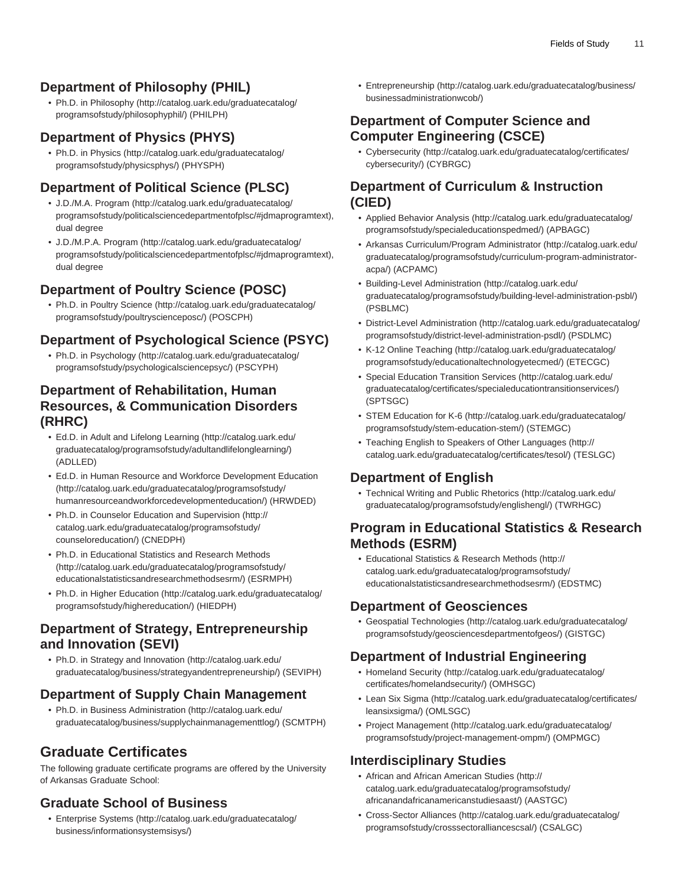# **Department of Philosophy (PHIL)**

• Ph.D. in [Philosophy](http://catalog.uark.edu/graduatecatalog/programsofstudy/philosophyphil/) ([http://catalog.uark.edu/graduatecatalog/](http://catalog.uark.edu/graduatecatalog/programsofstudy/philosophyphil/) [programsofstudy/philosophyphil/\)](http://catalog.uark.edu/graduatecatalog/programsofstudy/philosophyphil/) (PHILPH)

### **Department of Physics (PHYS)**

• Ph.D. in [Physics](http://catalog.uark.edu/graduatecatalog/programsofstudy/physicsphys/) [\(http://catalog.uark.edu/graduatecatalog/](http://catalog.uark.edu/graduatecatalog/programsofstudy/physicsphys/) [programsofstudy/physicsphys/\)](http://catalog.uark.edu/graduatecatalog/programsofstudy/physicsphys/) (PHYSPH)

### **Department of Political Science (PLSC)**

- [J.D./M.A. Program](http://catalog.uark.edu/graduatecatalog/programsofstudy/politicalsciencedepartmentofplsc/#jdmaprogramtext) ([http://catalog.uark.edu/graduatecatalog/](http://catalog.uark.edu/graduatecatalog/programsofstudy/politicalsciencedepartmentofplsc/#jdmaprogramtext) [programsofstudy/politicalsciencedepartmentofplsc/#jdmaprogramtext\)](http://catalog.uark.edu/graduatecatalog/programsofstudy/politicalsciencedepartmentofplsc/#jdmaprogramtext), dual degree
- [J.D./M.P.A. Program](http://catalog.uark.edu/graduatecatalog/programsofstudy/politicalsciencedepartmentofplsc/#jdmaprogramtext) [\(http://catalog.uark.edu/graduatecatalog/](http://catalog.uark.edu/graduatecatalog/programsofstudy/politicalsciencedepartmentofplsc/#jdmaprogramtext) [programsofstudy/politicalsciencedepartmentofplsc/#jdmaprogramtext\)](http://catalog.uark.edu/graduatecatalog/programsofstudy/politicalsciencedepartmentofplsc/#jdmaprogramtext), dual degree

### **Department of Poultry Science (POSC)**

• Ph.D. in [Poultry Science](http://catalog.uark.edu/graduatecatalog/programsofstudy/poultryscienceposc/) [\(http://catalog.uark.edu/graduatecatalog/](http://catalog.uark.edu/graduatecatalog/programsofstudy/poultryscienceposc/) [programsofstudy/poultryscienceposc/](http://catalog.uark.edu/graduatecatalog/programsofstudy/poultryscienceposc/)) (POSCPH)

### **Department of Psychological Science (PSYC)**

• Ph.D. in [Psychology \(http://catalog.uark.edu/graduatecatalog/](http://catalog.uark.edu/graduatecatalog/programsofstudy/psychologicalsciencepsyc/) [programsofstudy/psychologicalsciencepsyc/\)](http://catalog.uark.edu/graduatecatalog/programsofstudy/psychologicalsciencepsyc/) (PSCYPH)

### **Department of Rehabilitation, Human Resources, & Communication Disorders (RHRC)**

- Ed.D. in [Adult and Lifelong Learning](http://catalog.uark.edu/graduatecatalog/programsofstudy/adultandlifelonglearning/) ([http://catalog.uark.edu/](http://catalog.uark.edu/graduatecatalog/programsofstudy/adultandlifelonglearning/) [graduatecatalog/programsofstudy/adultandlifelonglearning/](http://catalog.uark.edu/graduatecatalog/programsofstudy/adultandlifelonglearning/)) (ADLLED)
- Ed.D. in [Human Resource and Workforce Development Education](http://catalog.uark.edu/graduatecatalog/programsofstudy/humanresourceandworkforcedevelopmenteducation/) ([http://catalog.uark.edu/graduatecatalog/programsofstudy/](http://catalog.uark.edu/graduatecatalog/programsofstudy/humanresourceandworkforcedevelopmenteducation/) [humanresourceandworkforcedevelopmenteducation/](http://catalog.uark.edu/graduatecatalog/programsofstudy/humanresourceandworkforcedevelopmenteducation/)) (HRWDED)
- Ph.D. in [Counselor Education and Supervision \(http://](http://catalog.uark.edu/graduatecatalog/programsofstudy/counseloreducation/) [catalog.uark.edu/graduatecatalog/programsofstudy/](http://catalog.uark.edu/graduatecatalog/programsofstudy/counseloreducation/) [counseloreducation/\)](http://catalog.uark.edu/graduatecatalog/programsofstudy/counseloreducation/) (CNEDPH)
- Ph.D. in [Educational Statistics and Research Methods](http://catalog.uark.edu/graduatecatalog/programsofstudy/educationalstatisticsandresearchmethodsesrm/) ([http://catalog.uark.edu/graduatecatalog/programsofstudy/](http://catalog.uark.edu/graduatecatalog/programsofstudy/educationalstatisticsandresearchmethodsesrm/) [educationalstatisticsandresearchmethodsesrm/\)](http://catalog.uark.edu/graduatecatalog/programsofstudy/educationalstatisticsandresearchmethodsesrm/) (ESRMPH)
- Ph.D. in [Higher Education](http://catalog.uark.edu/graduatecatalog/programsofstudy/highereducation/) ([http://catalog.uark.edu/graduatecatalog/](http://catalog.uark.edu/graduatecatalog/programsofstudy/highereducation/) [programsofstudy/highereducation/\)](http://catalog.uark.edu/graduatecatalog/programsofstudy/highereducation/) (HIEDPH)

#### **Department of Strategy, Entrepreneurship and Innovation (SEVI)**

• Ph.D. in [Strategy and Innovation](http://catalog.uark.edu/graduatecatalog/business/strategyandentrepreneurship/) [\(http://catalog.uark.edu/](http://catalog.uark.edu/graduatecatalog/business/strategyandentrepreneurship/) [graduatecatalog/business/strategyandentrepreneurship/\)](http://catalog.uark.edu/graduatecatalog/business/strategyandentrepreneurship/) (SEVIPH)

### **Department of Supply Chain Management**

• Ph.D. in [Business Administration](http://catalog.uark.edu/graduatecatalog/business/supplychainmanagementtlog/) ([http://catalog.uark.edu/](http://catalog.uark.edu/graduatecatalog/business/supplychainmanagementtlog/) [graduatecatalog/business/supplychainmanagementtlog/](http://catalog.uark.edu/graduatecatalog/business/supplychainmanagementtlog/)) (SCMTPH)

# **Graduate Certificates**

The following graduate certificate programs are offered by the University of Arkansas Graduate School:

# **Graduate School of Business**

• [Enterprise Systems](http://catalog.uark.edu/graduatecatalog/business/informationsystemsisys/) [\(http://catalog.uark.edu/graduatecatalog/](http://catalog.uark.edu/graduatecatalog/business/informationsystemsisys/) [business/informationsystemsisys/\)](http://catalog.uark.edu/graduatecatalog/business/informationsystemsisys/)

• [Entrepreneurship \(http://catalog.uark.edu/graduatecatalog/business/](http://catalog.uark.edu/graduatecatalog/business/businessadministrationwcob/) [businessadministrationwcob/](http://catalog.uark.edu/graduatecatalog/business/businessadministrationwcob/))

### **Department of Computer Science and Computer Engineering (CSCE)**

• [Cybersecurity](http://catalog.uark.edu/graduatecatalog/certificates/cybersecurity/) ([http://catalog.uark.edu/graduatecatalog/certificates/](http://catalog.uark.edu/graduatecatalog/certificates/cybersecurity/) [cybersecurity/\)](http://catalog.uark.edu/graduatecatalog/certificates/cybersecurity/) (CYBRGC)

### **Department of Curriculum & Instruction (CIED)**

- [Applied Behavior Analysis](http://catalog.uark.edu/graduatecatalog/programsofstudy/specialeducationspedmed/) ([http://catalog.uark.edu/graduatecatalog/](http://catalog.uark.edu/graduatecatalog/programsofstudy/specialeducationspedmed/) [programsofstudy/specialeducationspedmed/\)](http://catalog.uark.edu/graduatecatalog/programsofstudy/specialeducationspedmed/) (APBAGC)
- [Arkansas Curriculum/Program Administrator](http://catalog.uark.edu/graduatecatalog/programsofstudy/curriculum-program-administrator-acpa/) ([http://catalog.uark.edu/](http://catalog.uark.edu/graduatecatalog/programsofstudy/curriculum-program-administrator-acpa/) [graduatecatalog/programsofstudy/curriculum-program-administrator](http://catalog.uark.edu/graduatecatalog/programsofstudy/curriculum-program-administrator-acpa/)[acpa/\)](http://catalog.uark.edu/graduatecatalog/programsofstudy/curriculum-program-administrator-acpa/) (ACPAMC)
- [Building-Level Administration](http://catalog.uark.edu/graduatecatalog/programsofstudy/building-level-administration-psbl/) [\(http://catalog.uark.edu/](http://catalog.uark.edu/graduatecatalog/programsofstudy/building-level-administration-psbl/) [graduatecatalog/programsofstudy/building-level-administration-psbl/](http://catalog.uark.edu/graduatecatalog/programsofstudy/building-level-administration-psbl/)) (PSBLMC)
- [District-Level Administration](http://catalog.uark.edu/graduatecatalog/programsofstudy/district-level-administration-psdl/) [\(http://catalog.uark.edu/graduatecatalog/](http://catalog.uark.edu/graduatecatalog/programsofstudy/district-level-administration-psdl/) [programsofstudy/district-level-administration-psdl/](http://catalog.uark.edu/graduatecatalog/programsofstudy/district-level-administration-psdl/)) (PSDLMC)
- [K-12 Online Teaching \(http://catalog.uark.edu/graduatecatalog/](http://catalog.uark.edu/graduatecatalog/programsofstudy/educationaltechnologyetecmed/) [programsofstudy/educationaltechnologyetecmed/\)](http://catalog.uark.edu/graduatecatalog/programsofstudy/educationaltechnologyetecmed/) (ETECGC)
- [Special Education Transition Services](http://catalog.uark.edu/graduatecatalog/certificates/specialeducationtransitionservices/) [\(http://catalog.uark.edu/](http://catalog.uark.edu/graduatecatalog/certificates/specialeducationtransitionservices/) [graduatecatalog/certificates/specialeducationtransitionservices/\)](http://catalog.uark.edu/graduatecatalog/certificates/specialeducationtransitionservices/) (SPTSGC)
- [STEM Education for K-6](http://catalog.uark.edu/graduatecatalog/programsofstudy/stem-education-stem/) [\(http://catalog.uark.edu/graduatecatalog/](http://catalog.uark.edu/graduatecatalog/programsofstudy/stem-education-stem/) [programsofstudy/stem-education-stem/\)](http://catalog.uark.edu/graduatecatalog/programsofstudy/stem-education-stem/) (STEMGC)
- [Teaching English to Speakers of Other Languages](http://catalog.uark.edu/graduatecatalog/certificates/tesol/) [\(http://](http://catalog.uark.edu/graduatecatalog/certificates/tesol/) [catalog.uark.edu/graduatecatalog/certificates/tesol/\)](http://catalog.uark.edu/graduatecatalog/certificates/tesol/) (TESLGC)

# **Department of English**

• [Technical Writing and Public Rhetorics](http://catalog.uark.edu/graduatecatalog/programsofstudy/englishengl/) [\(http://catalog.uark.edu/](http://catalog.uark.edu/graduatecatalog/programsofstudy/englishengl/) [graduatecatalog/programsofstudy/englishengl/](http://catalog.uark.edu/graduatecatalog/programsofstudy/englishengl/)) (TWRHGC)

### **Program in Educational Statistics & Research Methods (ESRM)**

• [Educational Statistics & Research Methods](http://catalog.uark.edu/graduatecatalog/programsofstudy/educationalstatisticsandresearchmethodsesrm/) [\(http://](http://catalog.uark.edu/graduatecatalog/programsofstudy/educationalstatisticsandresearchmethodsesrm/) [catalog.uark.edu/graduatecatalog/programsofstudy/](http://catalog.uark.edu/graduatecatalog/programsofstudy/educationalstatisticsandresearchmethodsesrm/) [educationalstatisticsandresearchmethodsesrm/\)](http://catalog.uark.edu/graduatecatalog/programsofstudy/educationalstatisticsandresearchmethodsesrm/) (EDSTMC)

# **Department of Geosciences**

• [Geospatial Technologies](http://catalog.uark.edu/graduatecatalog/programsofstudy/geosciencesdepartmentofgeos/) [\(http://catalog.uark.edu/graduatecatalog/](http://catalog.uark.edu/graduatecatalog/programsofstudy/geosciencesdepartmentofgeos/) [programsofstudy/geosciencesdepartmentofgeos/](http://catalog.uark.edu/graduatecatalog/programsofstudy/geosciencesdepartmentofgeos/)) (GISTGC)

# **Department of Industrial Engineering**

- [Homeland Security](http://catalog.uark.edu/graduatecatalog/certificates/homelandsecurity/) ([http://catalog.uark.edu/graduatecatalog/](http://catalog.uark.edu/graduatecatalog/certificates/homelandsecurity/) [certificates/homelandsecurity/\)](http://catalog.uark.edu/graduatecatalog/certificates/homelandsecurity/) (OMHSGC)
- [Lean Six Sigma](http://catalog.uark.edu/graduatecatalog/certificates/leansixsigma/) [\(http://catalog.uark.edu/graduatecatalog/certificates/](http://catalog.uark.edu/graduatecatalog/certificates/leansixsigma/) [leansixsigma/\)](http://catalog.uark.edu/graduatecatalog/certificates/leansixsigma/) (OMLSGC)
- [Project Management](http://catalog.uark.edu/graduatecatalog/programsofstudy/project-management-ompm/) ([http://catalog.uark.edu/graduatecatalog/](http://catalog.uark.edu/graduatecatalog/programsofstudy/project-management-ompm/) [programsofstudy/project-management-ompm/](http://catalog.uark.edu/graduatecatalog/programsofstudy/project-management-ompm/)) (OMPMGC)

# **Interdisciplinary Studies**

- [African and African American Studies](http://catalog.uark.edu/graduatecatalog/programsofstudy/africanandafricanamericanstudiesaast/) ([http://](http://catalog.uark.edu/graduatecatalog/programsofstudy/africanandafricanamericanstudiesaast/) [catalog.uark.edu/graduatecatalog/programsofstudy/](http://catalog.uark.edu/graduatecatalog/programsofstudy/africanandafricanamericanstudiesaast/) [africanandafricanamericanstudiesaast/](http://catalog.uark.edu/graduatecatalog/programsofstudy/africanandafricanamericanstudiesaast/)) (AASTGC)
- [Cross-Sector Alliances](http://catalog.uark.edu/graduatecatalog/programsofstudy/crosssectoralliancescsal/) ([http://catalog.uark.edu/graduatecatalog/](http://catalog.uark.edu/graduatecatalog/programsofstudy/crosssectoralliancescsal/) [programsofstudy/crosssectoralliancescsal/](http://catalog.uark.edu/graduatecatalog/programsofstudy/crosssectoralliancescsal/)) (CSALGC)